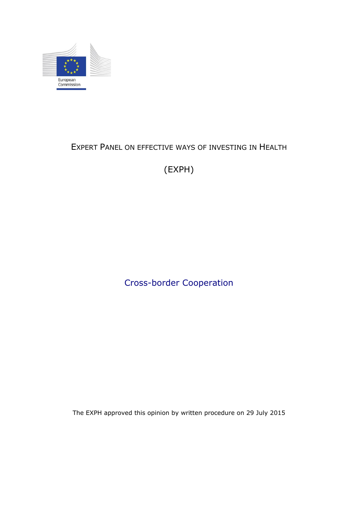

# EXPERT PANEL ON EFFECTIVE WAYS OF INVESTING IN HEALTH

(EXPH)

Cross-border Cooperation

The EXPH approved this opinion by written procedure on 29 July 2015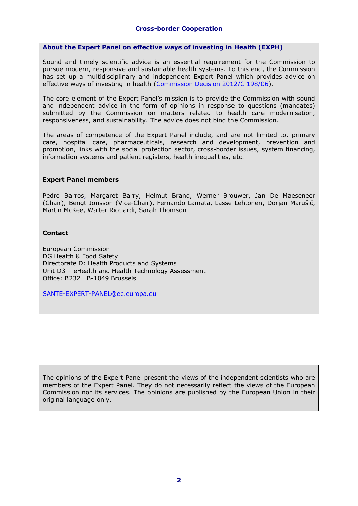#### **About the Expert Panel on effective ways of investing in Health (EXPH)**

Sound and timely scientific advice is an essential requirement for the Commission to pursue modern, responsive and sustainable health systems. To this end, the Commission has set up a multidisciplinary and independent Expert Panel which provides advice on effective ways of investing in health [\(Commission Decision 2012/C 198/06\)](http://ec.europa.eu/health/healthcare/docs/dec_panel2012_en.pdf).

The core element of the Expert Panel's mission is to provide the Commission with sound and independent advice in the form of opinions in response to questions (mandates) submitted by the Commission on matters related to health care modernisation, responsiveness, and sustainability. The advice does not bind the Commission.

The areas of competence of the Expert Panel include, and are not limited to, primary care, hospital care, pharmaceuticals, research and development, prevention and promotion, links with the social protection sector, cross-border issues, system financing, information systems and patient registers, health inequalities, etc.

#### **Expert Panel members**

Pedro Barros, Margaret Barry, Helmut Brand, Werner Brouwer, Jan De Maeseneer (Chair), Bengt Jönsson (Vice-Chair), Fernando Lamata, Lasse Lehtonen, Dorjan Marušič, Martin McKee, Walter Ricciardi, Sarah Thomson

## **Contact**

European Commission DG Health & Food Safety Directorate D: Health Products and Systems Unit D3 – eHealth and Health Technology Assessment Office: B232 B-1049 Brussels

[SANTE-EXPERT-PANEL@ec.europa.eu](mailto:SANTE-EXPERT-PANEL@ec.europa.eu)

The opinions of the Expert Panel present the views of the independent scientists who are members of the Expert Panel. They do not necessarily reflect the views of the European Commission nor its services. The opinions are published by the European Union in their original language only.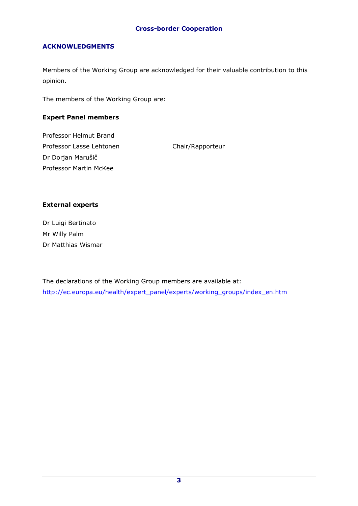## **ACKNOWLEDGMENTS**

Members of the Working Group are acknowledged for their valuable contribution to this opinion.

The members of the Working Group are:

## **Expert Panel members**

Professor Helmut Brand Professor Lasse Lehtonen Chair/Rapporteur Dr Dorjan Marušič Professor Martin McKee

## **External experts**

Dr Luigi Bertinato Mr Willy Palm Dr Matthias Wismar

The declarations of the Working Group members are available at: [http://ec.europa.eu/health/expert\\_panel/experts/working\\_groups/index\\_en.htm](http://ec.europa.eu/health/expert_panel/experts/working_groups/index_en.htm)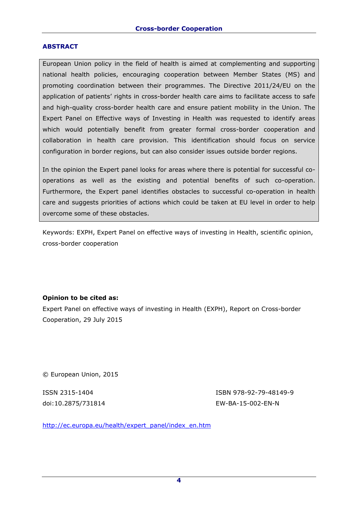#### **ABSTRACT**

European Union policy in the field of health is aimed at complementing and supporting national health policies, encouraging cooperation between Member States (MS) and promoting coordination between their programmes. The Directive 2011/24/EU on the application of patients' rights in cross-border health care aims to facilitate access to safe and high-quality cross-border health care and ensure patient mobility in the Union. The Expert Panel on Effective ways of Investing in Health was requested to identify areas which would potentially benefit from greater formal cross-border cooperation and collaboration in health care provision. This identification should focus on service configuration in border regions, but can also consider issues outside border regions.

In the opinion the Expert panel looks for areas where there is potential for successful cooperations as well as the existing and potential benefits of such co-operation. Furthermore, the Expert panel identifies obstacles to successful co-operation in health care and suggests priorities of actions which could be taken at EU level in order to help overcome some of these obstacles.

Keywords: EXPH, Expert Panel on effective ways of investing in Health, scientific opinion, cross-border cooperation

## **Opinion to be cited as:**

Expert Panel on effective ways of investing in Health (EXPH), Report on Cross-border Cooperation, 29 July 2015

© European Union, 2015

ISSN 2315-1404 ISBN 978-92-79-48149-9 doi:10.2875/731814 EW-BA-15-002-EN-N

[http://ec.europa.eu/health/expert\\_panel/index\\_en.htm](http://ec.europa.eu/health/expert_panel/index_en.htm)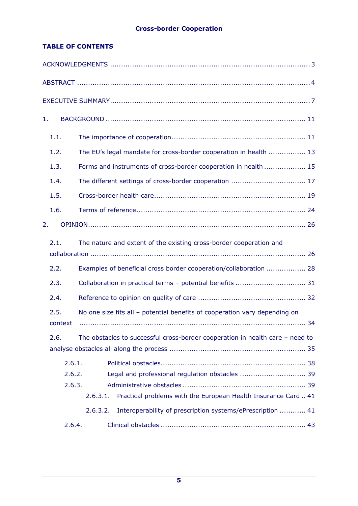# **TABLE OF CONTENTS**

| 1.              |                                                                                 |  |  |
|-----------------|---------------------------------------------------------------------------------|--|--|
| 1.1.            |                                                                                 |  |  |
| 1.2.            | The EU's legal mandate for cross-border cooperation in health  13               |  |  |
| 1.3.            | Forms and instruments of cross-border cooperation in health  15                 |  |  |
| 1.4.            |                                                                                 |  |  |
| 1.5.            |                                                                                 |  |  |
| 1.6.            |                                                                                 |  |  |
| 2.              |                                                                                 |  |  |
| 2.1.            | The nature and extent of the existing cross-border cooperation and              |  |  |
|                 |                                                                                 |  |  |
| 2.2.            | Examples of beneficial cross border cooperation/collaboration  28               |  |  |
| 2.3.            |                                                                                 |  |  |
| 2.4.            |                                                                                 |  |  |
| 2.5.<br>context | No one size fits all - potential benefits of cooperation vary depending on      |  |  |
| 2.6.            | The obstacles to successful cross-border cooperation in health care $-$ need to |  |  |
| 2.6.1.          |                                                                                 |  |  |
| 2.6.2.          | Legal and professional regulation obstacles  39                                 |  |  |
| 2.6.3.          |                                                                                 |  |  |
|                 | Practical problems with the European Health Insurance Card  41<br>2.6.3.1.      |  |  |
|                 | Interoperability of prescription systems/ePrescription  41<br>2.6.3.2.          |  |  |
| 2.6.4.          |                                                                                 |  |  |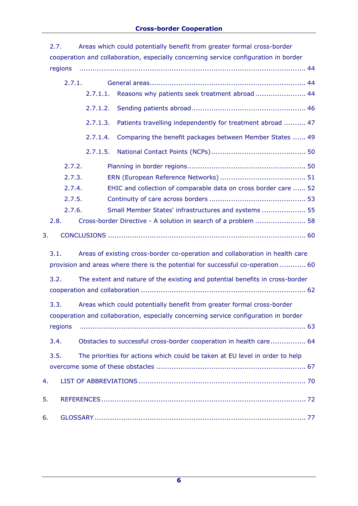|      | 2.7.                                                                                 |          | Areas which could potentially benefit from greater formal cross-border               |  |  |  |
|------|--------------------------------------------------------------------------------------|----------|--------------------------------------------------------------------------------------|--|--|--|
|      |                                                                                      |          | cooperation and collaboration, especially concerning service configuration in border |  |  |  |
|      | regions                                                                              |          |                                                                                      |  |  |  |
|      | 2.7.1.                                                                               |          |                                                                                      |  |  |  |
|      |                                                                                      | 2.7.1.1. | Reasons why patients seek treatment abroad  44                                       |  |  |  |
|      |                                                                                      | 2.7.1.2. |                                                                                      |  |  |  |
|      |                                                                                      | 2.7.1.3. | Patients travelling independently for treatment abroad  47                           |  |  |  |
|      |                                                                                      | 2.7.1.4. | Comparing the benefit packages between Member States  49                             |  |  |  |
|      |                                                                                      | 2.7.1.5. |                                                                                      |  |  |  |
|      | 2.7.2.                                                                               |          |                                                                                      |  |  |  |
|      | 2.7.3.                                                                               |          |                                                                                      |  |  |  |
|      | 2.7.4.                                                                               |          | EHIC and collection of comparable data on cross border care  52                      |  |  |  |
|      | 2.7.5.                                                                               |          |                                                                                      |  |  |  |
|      | 2.7.6.                                                                               |          | Small Member States' infrastructures and systems  55                                 |  |  |  |
|      | 2.8.                                                                                 |          | Cross-border Directive - A solution in search of a problem  58                       |  |  |  |
| 3.   |                                                                                      |          |                                                                                      |  |  |  |
|      | 3.1.                                                                                 |          | Areas of existing cross-border co-operation and collaboration in health care         |  |  |  |
|      |                                                                                      |          | provision and areas where there is the potential for successful co-operation  60     |  |  |  |
|      | 3.2.<br>The extent and nature of the existing and potential benefits in cross-border |          |                                                                                      |  |  |  |
|      | 3.3.                                                                                 |          | Areas which could potentially benefit from greater formal cross-border               |  |  |  |
|      |                                                                                      |          | cooperation and collaboration, especially concerning service configuration in border |  |  |  |
|      | regions                                                                              |          |                                                                                      |  |  |  |
| 3.4. |                                                                                      |          | Obstacles to successful cross-border cooperation in health care 64                   |  |  |  |
| 3.5. |                                                                                      |          | The priorities for actions which could be taken at EU level in order to help         |  |  |  |
|      |                                                                                      |          |                                                                                      |  |  |  |
| 4.   |                                                                                      |          |                                                                                      |  |  |  |
| 5.   |                                                                                      |          |                                                                                      |  |  |  |
| 6.   |                                                                                      |          |                                                                                      |  |  |  |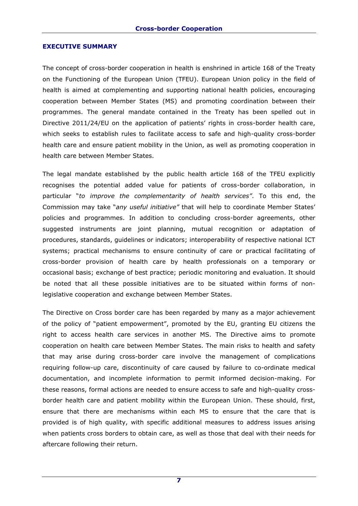#### **EXECUTIVE SUMMARY**

The concept of cross-border cooperation in health is enshrined in article 168 of the Treaty on the Functioning of the European Union (TFEU). European Union policy in the field of health is aimed at complementing and supporting national health policies, encouraging cooperation between Member States (MS) and promoting coordination between their programmes. The general mandate contained in the Treaty has been spelled out in Directive 2011/24/EU on the application of patients' rights in cross-border health care, which seeks to establish rules to facilitate access to safe and high-quality cross-border health care and ensure patient mobility in the Union, as well as promoting cooperation in health care between Member States.

The legal mandate established by the public health article 168 of the TFEU explicitly recognises the potential added value for patients of cross-border collaboration, in particular "*to improve the complementarity of health services"*. To this end, the Commission may take "*any useful initiative"* that will help to coordinate Member States' policies and programmes. In addition to concluding cross-border agreements, other suggested instruments are joint planning, mutual recognition or adaptation of procedures, standards, guidelines or indicators; interoperability of respective national ICT systems; practical mechanisms to ensure continuity of care or practical facilitating of cross-border provision of health care by health professionals on a temporary or occasional basis; exchange of best practice; periodic monitoring and evaluation. It should be noted that all these possible initiatives are to be situated within forms of nonlegislative cooperation and exchange between Member States.

The Directive on Cross border care has been regarded by many as a major achievement of the policy of "patient empowerment", promoted by the EU, granting EU citizens the right to access health care services in another MS. The Directive aims to promote cooperation on health care between Member States. The main risks to health and safety that may arise during cross-border care involve the management of complications requiring follow-up care, discontinuity of care caused by failure to co-ordinate medical documentation, and incomplete information to permit informed decision-making. For these reasons, formal actions are needed to ensure access to safe and high-quality crossborder health care and patient mobility within the European Union. These should, first, ensure that there are mechanisms within each MS to ensure that the care that is provided is of high quality, with specific additional measures to address issues arising when patients cross borders to obtain care, as well as those that deal with their needs for aftercare following their return.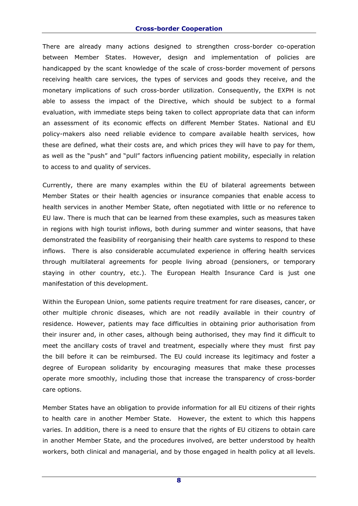#### **Cross-border Cooperation**

There are already many actions designed to strengthen cross-border co-operation between Member States. However, design and implementation of policies are handicapped by the scant knowledge of the scale of cross-border movement of persons receiving health care services, the types of services and goods they receive, and the monetary implications of such cross-border utilization. Consequently, the EXPH is not able to assess the impact of the Directive, which should be subject to a formal evaluation, with immediate steps being taken to collect appropriate data that can inform an assessment of its economic effects on different Member States. National and EU policy-makers also need reliable evidence to compare available health services, how these are defined, what their costs are, and which prices they will have to pay for them, as well as the "push" and "pull" factors influencing patient mobility, especially in relation to access to and quality of services.

Currently, there are many examples within the EU of bilateral agreements between Member States or their health agencies or insurance companies that enable access to health services in another Member State, often negotiated with little or no reference to EU law. There is much that can be learned from these examples, such as measures taken in regions with high tourist inflows, both during summer and winter seasons, that have demonstrated the feasibility of reorganising their health care systems to respond to these inflows. There is also considerable accumulated experience in offering health services through multilateral agreements for people living abroad (pensioners, or temporary staying in other country, etc.). The European Health Insurance Card is just one manifestation of this development.

Within the European Union, some patients require treatment for rare diseases, cancer, or other multiple chronic diseases, which are not readily available in their country of residence. However, patients may face difficulties in obtaining prior authorisation from their insurer and, in other cases, although being authorised, they may find it difficult to meet the ancillary costs of travel and treatment, especially where they must first pay the bill before it can be reimbursed. The EU could increase its legitimacy and foster a degree of European solidarity by encouraging measures that make these processes operate more smoothly, including those that increase the transparency of cross-border care options.

Member States have an obligation to provide information for all EU citizens of their rights to health care in another Member State. However, the extent to which this happens varies. In addition, there is a need to ensure that the rights of EU citizens to obtain care in another Member State, and the procedures involved, are better understood by health workers, both clinical and managerial, and by those engaged in health policy at all levels.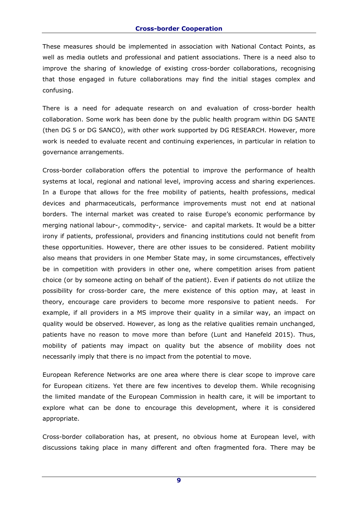These measures should be implemented in association with National Contact Points, as well as media outlets and professional and patient associations. There is a need also to improve the sharing of knowledge of existing cross-border collaborations, recognising that those engaged in future collaborations may find the initial stages complex and confusing.

There is a need for adequate research on and evaluation of cross-border health collaboration. Some work has been done by the public health program within DG SANTE (then DG 5 or DG SANCO), with other work supported by DG RESEARCH. However, more work is needed to evaluate recent and continuing experiences, in particular in relation to governance arrangements.

Cross-border collaboration offers the potential to improve the performance of health systems at local, regional and national level, improving access and sharing experiences. In a Europe that allows for the free mobility of patients, health professions, medical devices and pharmaceuticals, performance improvements must not end at national borders. The internal market was created to raise Europe's economic performance by merging national labour-, commodity-, service- and capital markets. It would be a bitter irony if patients, professional, providers and financing institutions could not benefit from these opportunities. However, there are other issues to be considered. Patient mobility also means that providers in one Member State may, in some circumstances, effectively be in competition with providers in other one, where competition arises from patient choice (or by someone acting on behalf of the patient). Even if patients do not utilize the possibility for cross-border care, the mere existence of this option may, at least in theory, encourage care providers to become more responsive to patient needs. For example, if all providers in a MS improve their quality in a similar way, an impact on quality would be observed. However, as long as the relative qualities remain unchanged, patients have no reason to move more than before (Lunt and Hanefeld 2015). Thus, mobility of patients may impact on quality but the absence of mobility does not necessarily imply that there is no impact from the potential to move.

European Reference Networks are one area where there is clear scope to improve care for European citizens. Yet there are few incentives to develop them. While recognising the limited mandate of the European Commission in health care, it will be important to explore what can be done to encourage this development, where it is considered appropriate.

Cross-border collaboration has, at present, no obvious home at European level, with discussions taking place in many different and often fragmented fora. There may be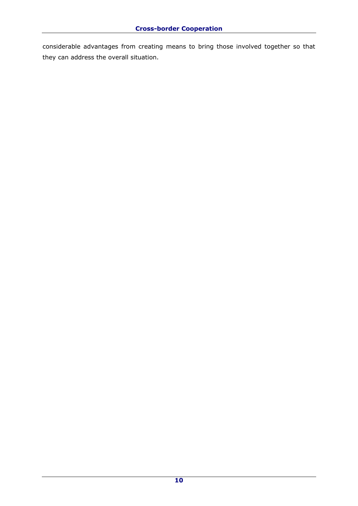considerable advantages from creating means to bring those involved together so that they can address the overall situation.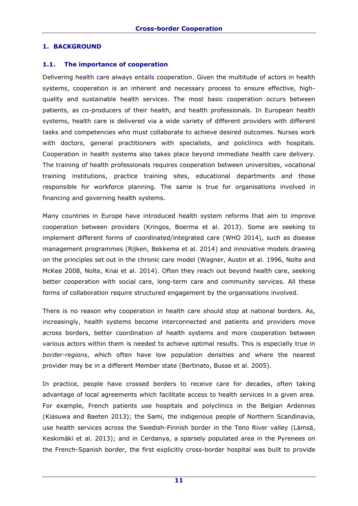### **1. BACKGROUND**

#### **1.1. The importance of cooperation**

Delivering health care always entails cooperation. Given the multitude of actors in health systems, cooperation is an inherent and necessary process to ensure effective, highquality and sustainable health services. The most basic cooperation occurs between patients, as co-producers of their health, and health professionals. In European health systems, health care is delivered via a wide variety of different providers with different tasks and competencies who must collaborate to achieve desired outcomes. Nurses work with doctors, general practitioners with specialists, and policlinics with hospitals. Cooperation in health systems also takes place beyond immediate health care delivery. The training of health professionals requires cooperation between universities, vocational training institutions, practice training sites, educational departments and those responsible for workforce planning. The same is true for organisations involved in financing and governing health systems.

Many countries in Europe have introduced health system reforms that aim to improve cooperation between providers (Kringos, Boerma et al. 2013). Some are seeking to implement different forms of coordinated/integrated care (WHO 2014), such as disease management programmes (Rijken, Bekkema et al. 2014) and innovative models drawing on the principles set out in the chronic care model (Wagner, Austin et al. 1996, Nolte and McKee 2008, Nolte, Knai et al. 2014). Often they reach out beyond health care, seeking better cooperation with social care, long-term care and community services. All these forms of collaboration require structured engagement by the organisations involved.

There is no reason why cooperation in health care should stop at national borders. As, increasingly, health systems become interconnected and patients and providers move across borders, better coordination of health systems and more cooperation between various actors within them is needed to achieve optimal results. This is especially true in *border-regions*, which often have low population densities and where the nearest provider may be in a different Member state (Bertinato, Busse et al. 2005).

In practice, people have crossed borders to receive care for decades, often taking advantage of local agreements which facilitate access to health services in a given area. For example, French patients use hospitals and polyclinics in the Belgian Ardennes (Kiasuwa and Baeten 2013); the Sami, the indigenous people of Northern Scandinavia, use health services across the Swedish-Finnish border in the Teno River valley (Lämsä, Keskimäki et al. 2013); and in Cerdanya, a sparsely populated area in the Pyrenees on the French-Spanish border, the first explicitly cross-border hospital was built to provide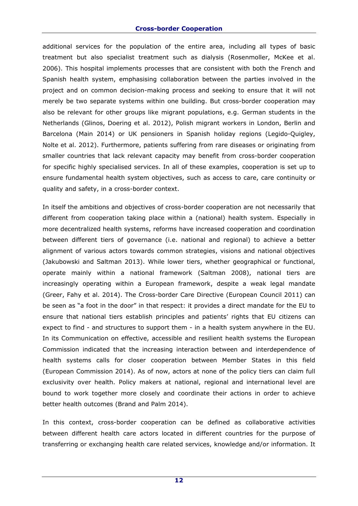#### **Cross-border Cooperation**

additional services for the population of the entire area, including all types of basic treatment but also specialist treatment such as dialysis (Rosenmoller, McKee et al. 2006). This hospital implements processes that are consistent with both the French and Spanish health system, emphasising collaboration between the parties involved in the project and on common decision-making process and seeking to ensure that it will not merely be two separate systems within one building. But cross-border cooperation may also be relevant for other groups like migrant populations, e.g. German students in the Netherlands (Glinos, Doering et al. 2012), Polish migrant workers in London, Berlin and Barcelona (Main 2014) or UK pensioners in Spanish holiday regions (Legido-Quigley, Nolte et al. 2012). Furthermore, patients suffering from rare diseases or originating from smaller countries that lack relevant capacity may benefit from cross-border cooperation for specific highly specialised services. In all of these examples, cooperation is set up to ensure fundamental health system objectives, such as access to care, care continuity or quality and safety, in a cross-border context.

In itself the ambitions and objectives of cross-border cooperation are not necessarily that different from cooperation taking place within a (national) health system. Especially in more decentralized health systems, reforms have increased cooperation and coordination between different tiers of governance (i.e. national and regional) to achieve a better alignment of various actors towards common strategies, visions and national objectives (Jakubowski and Saltman 2013). While lower tiers, whether geographical or functional, operate mainly within a national framework (Saltman 2008), national tiers are increasingly operating within a European framework, despite a weak legal mandate (Greer, Fahy et al. 2014). The Cross-border Care Directive (European Council 2011) can be seen as "a foot in the door" in that respect: it provides a direct mandate for the EU to ensure that national tiers establish principles and patients' rights that EU citizens can expect to find - and structures to support them - in a health system anywhere in the EU. In its Communication on effective, accessible and resilient health systems the European Commission indicated that the increasing interaction between and interdependence of health systems calls for closer cooperation between Member States in this field (European Commission 2014). As of now, actors at none of the policy tiers can claim full exclusivity over health. Policy makers at national, regional and international level are bound to work together more closely and coordinate their actions in order to achieve better health outcomes (Brand and Palm 2014).

In this context, cross-border cooperation can be defined as collaborative activities between different health care actors located in different countries for the purpose of transferring or exchanging health care related services, knowledge and/or information. It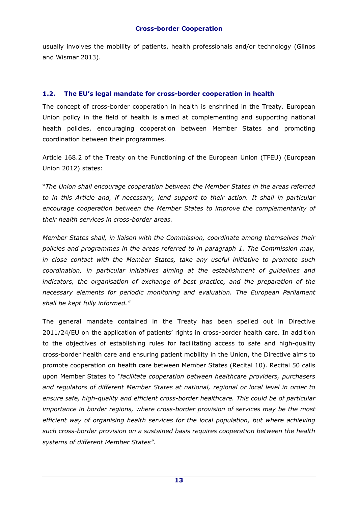usually involves the mobility of patients, health professionals and/or technology (Glinos and Wismar 2013).

## **1.2. The EU's legal mandate for cross-border cooperation in health**

The concept of cross-border cooperation in health is enshrined in the Treaty. European Union policy in the field of health is aimed at complementing and supporting national health policies, encouraging cooperation between Member States and promoting coordination between their programmes.

Article 168.2 of the Treaty on the Functioning of the European Union (TFEU) (European Union 2012) states:

"*The Union shall encourage cooperation between the Member States in the areas referred to in this Article and, if necessary, lend support to their action. It shall in particular encourage cooperation between the Member States to improve the complementarity of their health services in cross-border areas.* 

*Member States shall, in liaison with the Commission, coordinate among themselves their policies and programmes in the areas referred to in paragraph 1. The Commission may, in close contact with the Member States, take any useful initiative to promote such coordination, in particular initiatives aiming at the establishment of guidelines and indicators, the organisation of exchange of best practice, and the preparation of the necessary elements for periodic monitoring and evaluation. The European Parliament shall be kept fully informed."* 

The general mandate contained in the Treaty has been spelled out in Directive 2011/24/EU on the application of patients' rights in cross-border health care. In addition to the objectives of establishing rules for facilitating access to safe and high-quality cross-border health care and ensuring patient mobility in the Union, the Directive aims to promote cooperation on health care between Member States (Recital 10). Recital 50 calls upon Member States to *"facilitate cooperation between healthcare providers, purchasers and regulators of different Member States at national, regional or local level in order to ensure safe, high-quality and efficient cross-border healthcare. This could be of particular importance in border regions, where cross-border provision of services may be the most efficient way of organising health services for the local population, but where achieving such cross-border provision on a sustained basis requires cooperation between the health systems of different Member States".*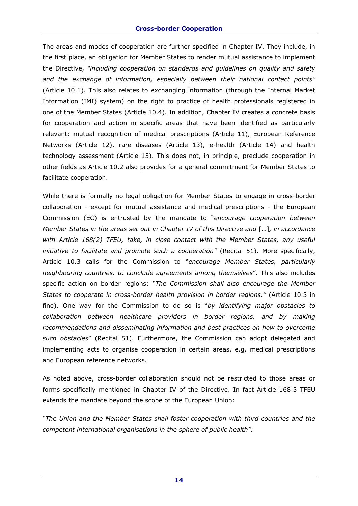The areas and modes of cooperation are further specified in Chapter IV. They include, in the first place, an obligation for Member States to render mutual assistance to implement the Directive, *"including cooperation on standards and guidelines on quality and safety and the exchange of information, especially between their national contact points"*  (Article 10.1). This also relates to exchanging information (through the Internal Market Information (IMI) system) on the right to practice of health professionals registered in one of the Member States (Article 10.4). In addition, Chapter IV creates a concrete basis for cooperation and action in specific areas that have been identified as particularly relevant: mutual recognition of medical prescriptions (Article 11), European Reference Networks (Article 12), rare diseases (Article 13), e-health (Article 14) and health technology assessment (Article 15). This does not, in principle, preclude cooperation in other fields as Article 10.2 also provides for a general commitment for Member States to facilitate cooperation.

While there is formally no legal obligation for Member States to engage in cross-border collaboration - except for mutual assistance and medical prescriptions - the European Commission (EC) is entrusted by the mandate to "*encourage cooperation between Member States in the areas set out in Chapter IV of this Directive and* [...], in accordance *with Article 168(2) TFEU, take, in close contact with the Member States, any useful initiative to facilitate and promote such a cooperation"* (Recital 51). More specifically, Article 10.3 calls for the Commission to "*encourage Member States, particularly neighbouring countries, to conclude agreements among themselves*". This also includes specific action on border regions: *"The Commission shall also encourage the Member States to cooperate in cross-border health provision in border regions."* (Article 10.3 in fine). One way for the Commission to do so is "*by identifying major obstacles to collaboration between healthcare providers in border regions, and by making recommendations and disseminating information and best practices on how to overcome such obstacles*" (Recital 51). Furthermore, the Commission can adopt delegated and implementing acts to organise cooperation in certain areas, e.g. medical prescriptions and European reference networks.

As noted above, cross-border collaboration should not be restricted to those areas or forms specifically mentioned in Chapter IV of the Directive. In fact Article 168.3 TFEU extends the mandate beyond the scope of the European Union:

*"The Union and the Member States shall foster cooperation with third countries and the competent international organisations in the sphere of public health".*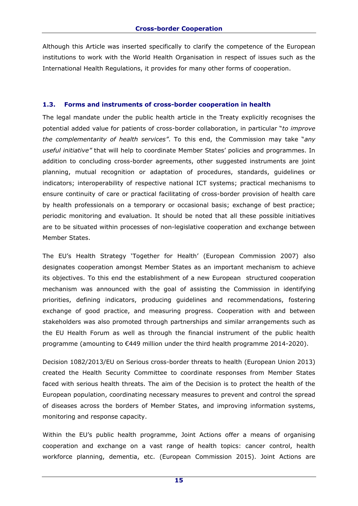Although this Article was inserted specifically to clarify the competence of the European institutions to work with the World Health Organisation in respect of issues such as the International Health Regulations, it provides for many other forms of cooperation.

#### **1.3. Forms and instruments of cross-border cooperation in health**

The legal mandate under the public health article in the Treaty explicitly recognises the potential added value for patients of cross-border collaboration, in particular "*to improve the complementarity of health services"*. To this end, the Commission may take "*any useful initiative"* that will help to coordinate Member States' policies and programmes. In addition to concluding cross-border agreements, other suggested instruments are joint planning, mutual recognition or adaptation of procedures, standards, guidelines or indicators; interoperability of respective national ICT systems; practical mechanisms to ensure continuity of care or practical facilitating of cross-border provision of health care by health professionals on a temporary or occasional basis; exchange of best practice; periodic monitoring and evaluation. It should be noted that all these possible initiatives are to be situated within processes of non-legislative cooperation and exchange between Member States.

The EU's Health Strategy 'Together for Health' (European Commission 2007) also designates cooperation amongst Member States as an important mechanism to achieve its objectives. To this end the establishment of a new European structured cooperation mechanism was announced with the goal of assisting the Commission in identifying priorities, defining indicators, producing guidelines and recommendations, fostering exchange of good practice, and measuring progress. Cooperation with and between stakeholders was also promoted through partnerships and similar arrangements such as the EU Health Forum as well as through the financial instrument of the public health programme (amounting to €449 million under the third health programme 2014-2020).

Decision 1082/2013/EU on Serious cross-border threats to health (European Union 2013) created the Health Security Committee to coordinate responses from Member States faced with serious health threats. The aim of the Decision is to protect the health of the European population, coordinating necessary measures to prevent and control the spread of diseases across the borders of Member States, and improving information systems, monitoring and response capacity.

Within the EU's public health programme, Joint Actions offer a means of organising cooperation and exchange on a vast range of health topics: cancer control, health workforce planning, dementia, etc. (European Commission 2015). Joint Actions are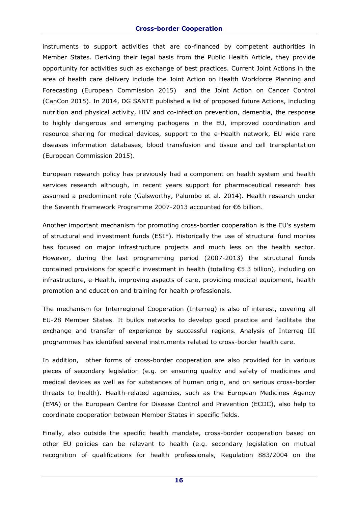#### **Cross-border Cooperation**

instruments to support activities that are co-financed by competent authorities in Member States. Deriving their legal basis from the Public Health Article, they provide opportunity for activities such as exchange of best practices. Current Joint Actions in the area of health care delivery include the Joint Action on Health Workforce Planning and Forecasting (European Commission 2015) and the Joint Action on Cancer Control (CanCon 2015). In 2014, DG SANTE published a list of proposed future Actions, including nutrition and physical activity, HIV and co-infection prevention, dementia, the response to highly dangerous and emerging pathogens in the EU, improved coordination and resource sharing for medical devices, support to the e-Health network, EU wide rare diseases information databases, blood transfusion and tissue and cell transplantation (European Commission 2015).

European research policy has previously had a component on health system and health services research although, in recent years support for pharmaceutical research has assumed a predominant role (Galsworthy, Palumbo et al. 2014). Health research under the Seventh Framework Programme 2007-2013 accounted for €6 billion.

Another important mechanism for promoting cross-border cooperation is the EU's system of structural and investment funds (ESIF). Historically the use of structural fund monies has focused on major infrastructure projects and much less on the health sector. However, during the last programming period (2007-2013) the structural funds contained provisions for specific investment in health (totalling €5.3 billion), including on infrastructure, e-Health, improving aspects of care, providing medical equipment, health promotion and education and training for health professionals.

The mechanism for Interregional Cooperation (Interreg) is also of interest, covering all EU-28 Member States. It builds networks to develop good practice and facilitate the exchange and transfer of experience by successful regions. Analysis of Interreg III programmes has identified several instruments related to cross-border health care.

In addition, other forms of cross-border cooperation are also provided for in various pieces of secondary legislation (e.g. on ensuring quality and safety of medicines and medical devices as well as for substances of human origin, and on serious cross-border threats to health). Health-related agencies, such as the European Medicines Agency (EMA) or the European Centre for Disease Control and Prevention (ECDC), also help to coordinate cooperation between Member States in specific fields.

Finally, also outside the specific health mandate, cross-border cooperation based on other EU policies can be relevant to health (e.g. secondary legislation on mutual recognition of qualifications for health professionals, Regulation 883/2004 on the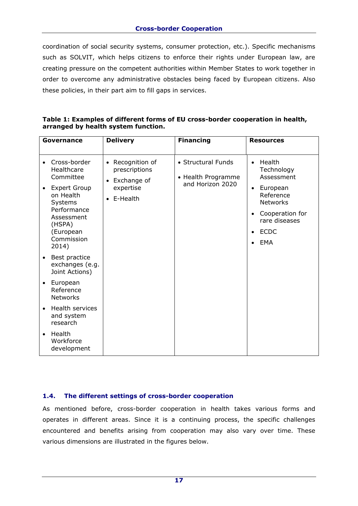coordination of social security systems, consumer protection, etc.). Specific mechanisms such as SOLVIT, which helps citizens to enforce their rights under European law, are creating pressure on the competent authorities within Member States to work together in order to overcome any administrative obstacles being faced by European citizens. Also these policies, in their part aim to fill gaps in services.

| Table 1: Examples of different forms of EU cross-border cooperation in health, |  |
|--------------------------------------------------------------------------------|--|
| arranged by health system function.                                            |  |

|           | Governance                                                                                                                                                        | <b>Delivery</b>                                                                                   | <b>Financing</b>                                             | <b>Resources</b>                                                                                                                                                                                          |
|-----------|-------------------------------------------------------------------------------------------------------------------------------------------------------------------|---------------------------------------------------------------------------------------------------|--------------------------------------------------------------|-----------------------------------------------------------------------------------------------------------------------------------------------------------------------------------------------------------|
| $\bullet$ | Cross-border<br>Healthcare<br>Committee<br><b>Expert Group</b><br>on Health<br>Systems<br>Performance<br>Assessment<br>(HSPA)<br>(European<br>Commission<br>2014) | Recognition of<br>$\bullet$<br>prescriptions<br>Exchange of<br>$\bullet$<br>expertise<br>E-Health | • Structural Funds<br>• Health Programme<br>and Horizon 2020 | Health<br>$\bullet$<br>Technology<br>Assessment<br>European<br>$\bullet$<br>Reference<br><b>Networks</b><br>Cooperation for<br>$\bullet$<br>rare diseases<br><b>ECDC</b><br>$\bullet$<br>EMA<br>$\bullet$ |
|           | Best practice<br>exchanges (e.g.<br>Joint Actions)                                                                                                                |                                                                                                   |                                                              |                                                                                                                                                                                                           |
| $\bullet$ | European<br>Reference<br><b>Networks</b>                                                                                                                          |                                                                                                   |                                                              |                                                                                                                                                                                                           |
|           | Health services<br>and system<br>research                                                                                                                         |                                                                                                   |                                                              |                                                                                                                                                                                                           |
| $\bullet$ | Health<br>Workforce<br>development                                                                                                                                |                                                                                                   |                                                              |                                                                                                                                                                                                           |

#### **1.4. The different settings of cross-border cooperation**

As mentioned before, cross-border cooperation in health takes various forms and operates in different areas. Since it is a continuing process, the specific challenges encountered and benefits arising from cooperation may also vary over time. These various dimensions are illustrated in the figures below.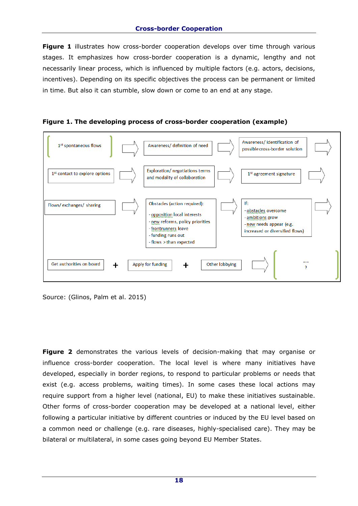**Figure 1** illustrates how cross-border cooperation develops over time through various stages. It emphasizes how cross-border cooperation is a dynamic, lengthy and not necessarily linear process, which is influenced by multiple factors (e.g. actors, decisions, incentives). Depending on its specific objectives the process can be permanent or limited in time. But also it can stumble, slow down or come to an end at any stage.





Source: (Glinos, Palm et al. 2015)

**Figure 2** demonstrates the various levels of decision-making that may organise or influence cross-border cooperation. The local level is where many initiatives have developed, especially in border regions, to respond to particular problems or needs that exist (e.g. access problems, waiting times). In some cases these local actions may require support from a higher level (national, EU) to make these initiatives sustainable. Other forms of cross-border cooperation may be developed at a national level, either following a particular initiative by different countries or induced by the EU level based on a common need or challenge (e.g. rare diseases, highly-specialised care). They may be bilateral or multilateral, in some cases going beyond EU Member States.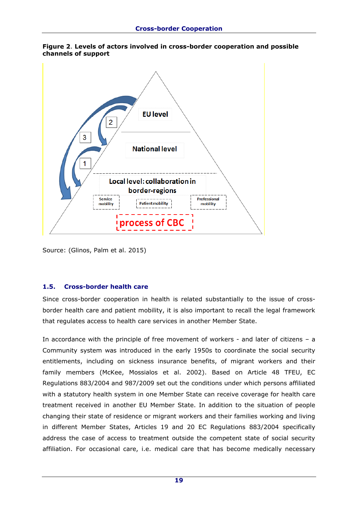



Source: (Glinos, Palm et al. 2015)

## **1.5. Cross-border health care**

Since cross-border cooperation in health is related substantially to the issue of crossborder health care and patient mobility, it is also important to recall the legal framework that regulates access to health care services in another Member State.

In accordance with the principle of free movement of workers - and later of citizens – a Community system was introduced in the early 1950s to coordinate the social security entitlements, including on sickness insurance benefits, of migrant workers and their family members (McKee, Mossialos et al. 2002). Based on Article 48 TFEU, EC Regulations 883/2004 and 987/2009 set out the conditions under which persons affiliated with a statutory health system in one Member State can receive coverage for health care treatment received in another EU Member State. In addition to the situation of people changing their state of residence or migrant workers and their families working and living in different Member States, Articles 19 and 20 EC Regulations 883/2004 specifically address the case of access to treatment outside the competent state of social security affiliation. For occasional care, i.e. medical care that has become medically necessary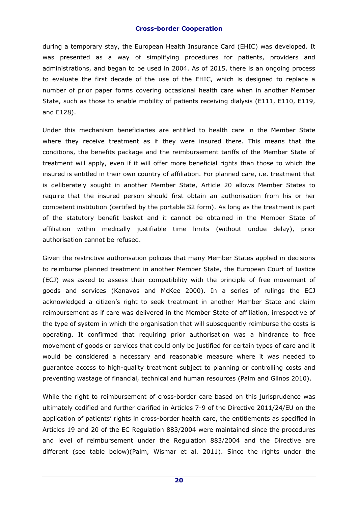during a temporary stay, the European Health Insurance Card (EHIC) was developed. It was presented as a way of simplifying procedures for patients, providers and administrations, and began to be used in 2004. As of 2015, there is an ongoing process to evaluate the first decade of the use of the EHIC, which is designed to replace a number of prior paper forms covering occasional health care when in another Member State, such as those to enable mobility of patients receiving dialysis (E111, E110, E119, and E128).

Under this mechanism beneficiaries are entitled to health care in the Member State where they receive treatment as if they were insured there. This means that the conditions, the benefits package and the reimbursement tariffs of the Member State of treatment will apply, even if it will offer more beneficial rights than those to which the insured is entitled in their own country of affiliation. For planned care, i.e. treatment that is deliberately sought in another Member State, Article 20 allows Member States to require that the insured person should first obtain an authorisation from his or her competent institution (certified by the portable S2 form). As long as the treatment is part of the statutory benefit basket and it cannot be obtained in the Member State of affiliation within medically justifiable time limits (without undue delay), prior authorisation cannot be refused.

Given the restrictive authorisation policies that many Member States applied in decisions to reimburse planned treatment in another Member State, the European Court of Justice (ECJ) was asked to assess their compatibility with the principle of free movement of goods and services (Kanavos and McKee 2000). In a series of rulings the ECJ acknowledged a citizen's right to seek treatment in another Member State and claim reimbursement as if care was delivered in the Member State of affiliation, irrespective of the type of system in which the organisation that will subsequently reimburse the costs is operating. It confirmed that requiring prior authorisation was a hindrance to free movement of goods or services that could only be justified for certain types of care and it would be considered a necessary and reasonable measure where it was needed to guarantee access to high-quality treatment subject to planning or controlling costs and preventing wastage of financial, technical and human resources (Palm and Glinos 2010).

While the right to reimbursement of cross-border care based on this jurisprudence was ultimately codified and further clarified in Articles 7-9 of the Directive 2011/24/EU on the application of patients' rights in cross-border health care, the entitlements as specified in Articles 19 and 20 of the EC Regulation 883/2004 were maintained since the procedures and level of reimbursement under the Regulation 883/2004 and the Directive are different (see table below)(Palm, Wismar et al. 2011). Since the rights under the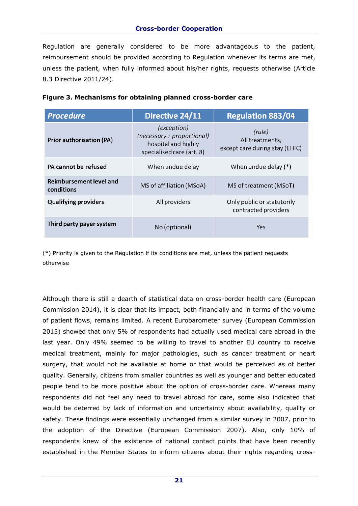Regulation are generally considered to be more advantageous to the patient, reimbursement should be provided according to Regulation whenever its terms are met, unless the patient, when fully informed about his/her rights, requests otherwise (Article 8.3 Directive 2011/24).

| <b>Procedure</b>                      | Directive 24/11                                                                               | <b>Regulation 883/04</b>                                    |
|---------------------------------------|-----------------------------------------------------------------------------------------------|-------------------------------------------------------------|
| <b>Prior authorisation (PA)</b>       | (exception)<br>(necessary + proportional)<br>hospital and highly<br>specialised care (art. 8) | (rule)<br>All treatments,<br>except care during stay (EHIC) |
| PA cannot be refused                  | When undue delay                                                                              | When undue delay $(*)$                                      |
| Reimbursement level and<br>conditions | MS of affiliation (MSoA)                                                                      | MS of treatment (MSoT)                                      |
| <b>Qualifying providers</b>           | All providers                                                                                 | Only public or statutorily<br>contracted providers          |
| Third party payer system              | No (optional)                                                                                 | Yes                                                         |

|  |  |  |  |  |  | Figure 3. Mechanisms for obtaining planned cross-border care |  |
|--|--|--|--|--|--|--------------------------------------------------------------|--|
|--|--|--|--|--|--|--------------------------------------------------------------|--|

(\*) Priority is given to the Regulation if its conditions are met, unless the patient requests otherwise

Although there is still a dearth of statistical data on cross-border health care (European Commission 2014), it is clear that its impact, both financially and in terms of the volume of patient flows, remains limited. A recent Eurobarometer survey (European Commission 2015) showed that only 5% of respondents had actually used medical care abroad in the last year. Only 49% seemed to be willing to travel to another EU country to receive medical treatment, mainly for major pathologies, such as cancer treatment or heart surgery, that would not be available at home or that would be perceived as of better quality. Generally, citizens from smaller countries as well as younger and better educated people tend to be more positive about the option of cross-border care. Whereas many respondents did not feel any need to travel abroad for care, some also indicated that would be deterred by lack of information and uncertainty about availability, quality or safety. These findings were essentially unchanged from a similar survey in 2007, prior to the adoption of the Directive (European Commission 2007). Also, only 10% of respondents knew of the existence of national contact points that have been recently established in the Member States to inform citizens about their rights regarding cross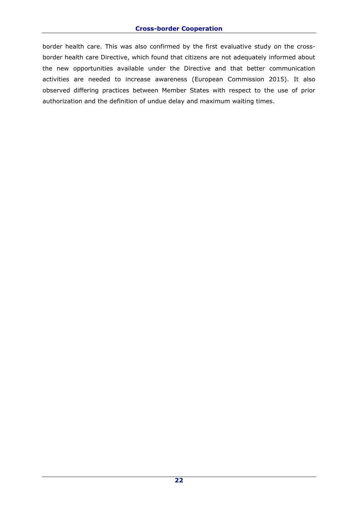border health care. This was also confirmed by the first evaluative study on the crossborder health care Directive, which found that citizens are not adequately informed about the new opportunities available under the Directive and that better communication activities are needed to increase awareness (European Commission 2015). It also observed differing practices between Member States with respect to the use of prior authorization and the definition of undue delay and maximum waiting times.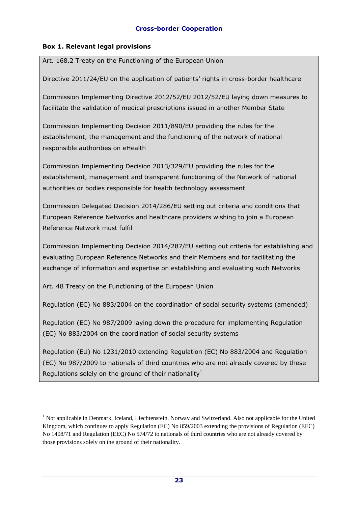## **Box 1. Relevant legal provisions**

Art. 168.2 Treaty on the Functioning of the European Union

Directive 2011/24/EU on the application of patients' rights in cross-border healthcare

Commission Implementing Directive 2012/52/EU 2012/52/EU laying down measures to facilitate the validation of medical prescriptions issued in another Member State

Commission Implementing Decision 2011/890/EU providing the rules for the establishment, the management and the functioning of the network of national responsible authorities on eHealth

Commission Implementing Decision 2013/329/EU providing the rules for the establishment, management and transparent functioning of the Network of national authorities or bodies responsible for health technology assessment

Commission Delegated Decision 2014/286/EU setting out criteria and conditions that European Reference Networks and healthcare providers wishing to join a European Reference Network must fulfil

Commission Implementing Decision 2014/287/EU setting out criteria for establishing and evaluating European Reference Networks and their Members and for facilitating the exchange of information and expertise on establishing and evaluating such Networks

Art. 48 Treaty on the Functioning of the European Union

-

Regulation (EC) No 883/2004 on the coordination of social security systems (amended)

Regulation (EC) No 987/2009 laying down the procedure for implementing Regulation (EC) No 883/2004 on the coordination of social security systems

Regulation (EU) No 1231/2010 extending Regulation (EC) No 883/2004 and Regulation (EC) No 987/2009 to nationals of third countries who are not already covered by these Regulations solely on the ground of their nationality<sup>1</sup>

<sup>&</sup>lt;sup>1</sup> Not applicable in Denmark, Iceland, Liechtenstein, Norway and Switzerland. Also not applicable for the United Kingdom, which continues to apply Regulation (EC) No 859/2003 extending the provisions of Regulation (EEC) No 1408/71 and Regulation (EEC) No 574/72 to nationals of third countries who are not already covered by those provisions solely on the ground of their nationality.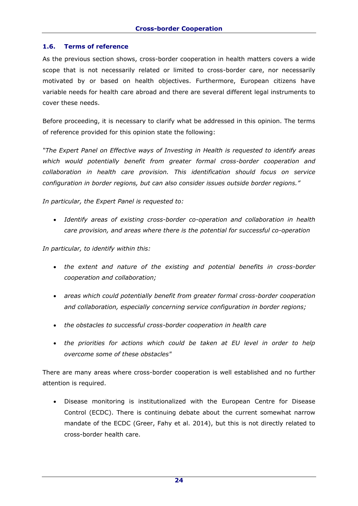## **1.6. Terms of reference**

As the previous section shows, cross-border cooperation in health matters covers a wide scope that is not necessarily related or limited to cross-border care, nor necessarily motivated by or based on health objectives. Furthermore, European citizens have variable needs for health care abroad and there are several different legal instruments to cover these needs.

Before proceeding, it is necessary to clarify what be addressed in this opinion. The terms of reference provided for this opinion state the following:

*"The Expert Panel on Effective ways of Investing in Health is requested to identify areas which would potentially benefit from greater formal cross-border cooperation and collaboration in health care provision. This identification should focus on service configuration in border regions, but can also consider issues outside border regions."* 

*In particular, the Expert Panel is requested to:*

 *Identify areas of existing cross-border co-operation and collaboration in health care provision, and areas where there is the potential for successful co-operation*

*In particular, to identify within this:*

- *the extent and nature of the existing and potential benefits in cross-border cooperation and collaboration;*
- *areas which could potentially benefit from greater formal cross-border cooperation and collaboration, especially concerning service configuration in border regions;*
- *the obstacles to successful cross-border cooperation in health care*
- *the priorities for actions which could be taken at EU level in order to help overcome some of these obstacles"*

There are many areas where cross-border cooperation is well established and no further attention is required.

 Disease monitoring is institutionalized with the European Centre for Disease Control (ECDC). There is continuing debate about the current somewhat narrow mandate of the ECDC (Greer, Fahy et al. 2014), but this is not directly related to cross-border health care.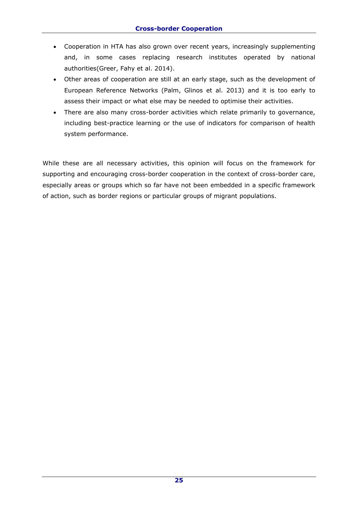- Cooperation in HTA has also grown over recent years, increasingly supplementing and, in some cases replacing research institutes operated by national authorities(Greer, Fahy et al. 2014).
- Other areas of cooperation are still at an early stage, such as the development of European Reference Networks (Palm, Glinos et al. 2013) and it is too early to assess their impact or what else may be needed to optimise their activities.
- There are also many cross-border activities which relate primarily to governance, including best-practice learning or the use of indicators for comparison of health system performance.

While these are all necessary activities, this opinion will focus on the framework for supporting and encouraging cross-border cooperation in the context of cross-border care, especially areas or groups which so far have not been embedded in a specific framework of action, such as border regions or particular groups of migrant populations.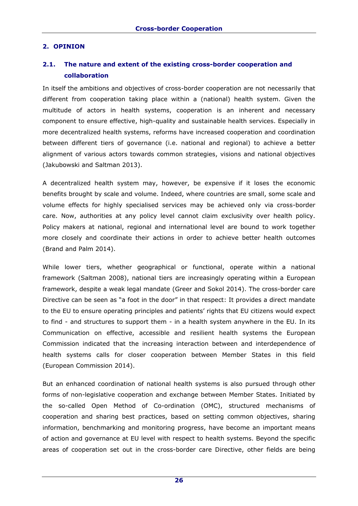## **2. OPINION**

# **2.1. The nature and extent of the existing cross-border cooperation and collaboration**

In itself the ambitions and objectives of cross-border cooperation are not necessarily that different from cooperation taking place within a (national) health system. Given the multitude of actors in health systems, cooperation is an inherent and necessary component to ensure effective, high-quality and sustainable health services. Especially in more decentralized health systems, reforms have increased cooperation and coordination between different tiers of governance (i.e. national and regional) to achieve a better alignment of various actors towards common strategies, visions and national objectives (Jakubowski and Saltman 2013).

A decentralized health system may, however, be expensive if it loses the economic benefits brought by scale and volume. Indeed, where countries are small, some scale and volume effects for highly specialised services may be achieved only via cross-border care. Now, authorities at any policy level cannot claim exclusivity over health policy. Policy makers at national, regional and international level are bound to work together more closely and coordinate their actions in order to achieve better health outcomes (Brand and Palm 2014).

While lower tiers, whether geographical or functional, operate within a national framework (Saltman 2008), national tiers are increasingly operating within a European framework, despite a weak legal mandate (Greer and Sokol 2014). The cross-border care Directive can be seen as "a foot in the door" in that respect: It provides a direct mandate to the EU to ensure operating principles and patients' rights that EU citizens would expect to find - and structures to support them - in a health system anywhere in the EU. In its Communication on effective, accessible and resilient health systems the European Commission indicated that the increasing interaction between and interdependence of health systems calls for closer cooperation between Member States in this field (European Commission 2014).

But an enhanced coordination of national health systems is also pursued through other forms of non-legislative cooperation and exchange between Member States. Initiated by the so-called Open Method of Co-ordination (OMC), structured mechanisms of cooperation and sharing best practices, based on setting common objectives, sharing information, benchmarking and monitoring progress, have become an important means of action and governance at EU level with respect to health systems. Beyond the specific areas of cooperation set out in the cross-border care Directive, other fields are being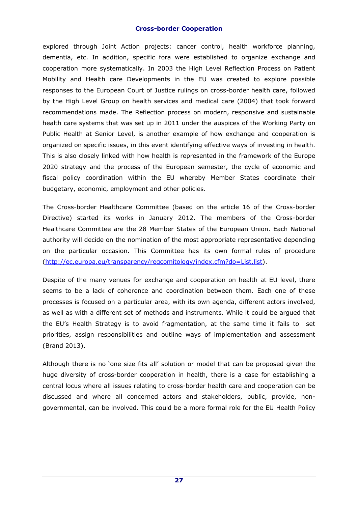#### **Cross-border Cooperation**

explored through Joint Action projects: cancer control, health workforce planning, dementia, etc. In addition, specific fora were established to organize exchange and cooperation more systematically. In 2003 the High Level Reflection Process on Patient Mobility and Health care Developments in the EU was created to explore possible responses to the European Court of Justice rulings on cross-border health care, followed by the High Level Group on health services and medical care (2004) that took forward recommendations made. The Reflection process on modern, responsive and sustainable health care systems that was set up in 2011 under the auspices of the Working Party on Public Health at Senior Level, is another example of how exchange and cooperation is organized on specific issues, in this event identifying effective ways of investing in health. This is also closely linked with how health is represented in the framework of the Europe 2020 strategy and the process of the European semester, the cycle of economic and fiscal policy coordination within the EU whereby Member States coordinate their budgetary, economic, employment and other policies.

The Cross-border Healthcare Committee (based on the article 16 of the Cross-border Directive) started its works in January 2012. The members of the Cross-border Healthcare Committee are the 28 Member States of the European Union. Each National authority will decide on the nomination of the most appropriate representative depending on the particular occasion. This Committee has its own formal rules of procedure [\(http://ec.europa.eu/transparency/regcomitology/index.cfm?do=List.list\)](http://ec.europa.eu/transparency/regcomitology/index.cfm?do=List.list).

Despite of the many venues for exchange and cooperation on health at EU level, there seems to be a lack of coherence and coordination between them. Each one of these processes is focused on a particular area, with its own agenda, different actors involved, as well as with a different set of methods and instruments. While it could be argued that the EU's Health Strategy is to avoid fragmentation, at the same time it fails to set priorities, assign responsibilities and outline ways of implementation and assessment (Brand 2013).

Although there is no 'one size fits all' solution or model that can be proposed given the huge diversity of cross-border cooperation in health, there is a case for establishing a central locus where all issues relating to cross-border health care and cooperation can be discussed and where all concerned actors and stakeholders, public, provide, nongovernmental, can be involved. This could be a more formal role for the EU Health Policy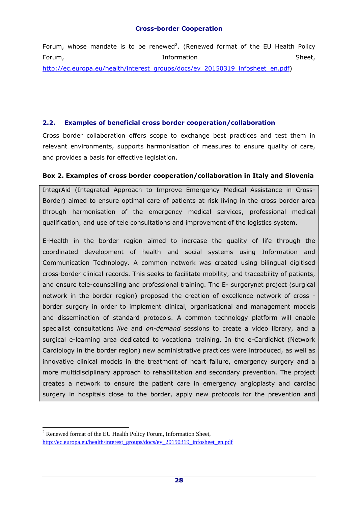Forum, whose mandate is to be renewed<sup>2</sup>. (Renewed format of the EU Health Policy Forum, Sheet, Enformation Controllering of the Sheet, Sheet, Sheet, Sheet, Sheet, Sheet, Sheet, Sheet, Sheet, [http://ec.europa.eu/health/interest\\_groups/docs/ev\\_20150319\\_infosheet\\_en.pdf\)](http://ec.europa.eu/health/interest_groups/docs/ev_20150319_infosheet_en.pdf)

## **2.2. Examples of beneficial cross border cooperation/collaboration**

Cross border collaboration offers scope to exchange best practices and test them in relevant environments, supports harmonisation of measures to ensure quality of care, and provides a basis for effective legislation.

#### **Box 2. Examples of cross border cooperation/collaboration in Italy and Slovenia**

IntegrAid (Integrated Approach to Improve Emergency Medical Assistance in Cross-Border) aimed to ensure optimal care of patients at risk living in the cross border area through harmonisation of the emergency medical services, professional medical qualification, and use of tele consultations and improvement of the logistics system.

E-Health in the border region aimed to increase the quality of life through the coordinated development of health and social systems using Information and Communication Technology. A common network was created using bilingual digitised cross-border clinical records. This seeks to facilitate mobility, and traceability of patients, and ensure tele-counselling and professional training. The E- surgerynet project (surgical network in the border region) proposed the creation of excellence network of cross border surgery in order to implement clinical, organisational and management models and dissemination of standard protocols. A common technology platform will enable specialist consultations *live* and *on-demand* sessions to create a video library, and a surgical e-learning area dedicated to vocational training. In the e-CardioNet (Network Cardiology in the border region) new administrative practices were introduced, as well as innovative clinical models in the treatment of heart failure, emergency surgery and a more multidisciplinary approach to rehabilitation and secondary prevention. The project creates a network to ensure the patient care in emergency angioplasty and cardiac surgery in hospitals close to the border, apply new protocols for the prevention and

-

<sup>2</sup> Renewed format of the EU Health Policy Forum, Information Sheet, [http://ec.europa.eu/health/interest\\_groups/docs/ev\\_20150319\\_infosheet\\_en.pdf](http://ec.europa.eu/health/interest_groups/docs/ev_20150319_infosheet_en.pdf)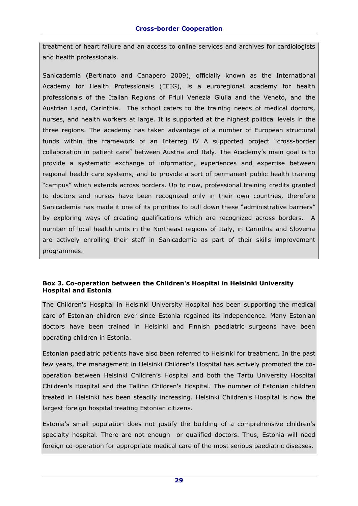treatment of heart failure and an access to online services and archives for cardiologists and health professionals.

Sanicademia (Bertinato and Canapero 2009), officially known as the International Academy for Health Professionals (EEIG), is a euroregional academy for health professionals of the Italian Regions of Friuli Venezia Giulia and the Veneto, and the Austrian Land, Carinthia. The school caters to the training needs of medical doctors, nurses, and health workers at large. It is supported at the highest political levels in the three regions. The academy has taken advantage of a number of European structural funds within the framework of an Interreg IV A supported project "cross-border collaboration in patient care" between Austria and Italy. The Academy's main goal is to provide a systematic exchange of information, experiences and expertise between regional health care systems, and to provide a sort of permanent public health training "campus" which extends across borders. Up to now, professional training credits granted to doctors and nurses have been recognized only in their own countries, therefore Sanicademia has made it one of its priorities to pull down these "administrative barriers" by exploring ways of creating qualifications which are recognized across borders. A number of local health units in the Northeast regions of Italy, in Carinthia and Slovenia are actively enrolling their staff in Sanicademia as part of their skills improvement programmes.

## **Box 3. Co-operation between the Children's Hospital in Helsinki University Hospital and Estonia**

The Children's Hospital in Helsinki University Hospital has been supporting the medical care of Estonian children ever since Estonia regained its independence. Many Estonian doctors have been trained in Helsinki and Finnish paediatric surgeons have been operating children in Estonia.

Estonian paediatric patients have also been referred to Helsinki for treatment. In the past few years, the management in Helsinki Children's Hospital has actively promoted the cooperation between Helsinki Children's Hospital and both the Tartu University Hospital Children's Hospital and the Tallinn Children's Hospital. The number of Estonian children treated in Helsinki has been steadily increasing. Helsinki Children's Hospital is now the largest foreign hospital treating Estonian citizens.

Estonia's small population does not justify the building of a comprehensive children's specialty hospital. There are not enough or qualified doctors. Thus, Estonia will need foreign co-operation for appropriate medical care of the most serious paediatric diseases.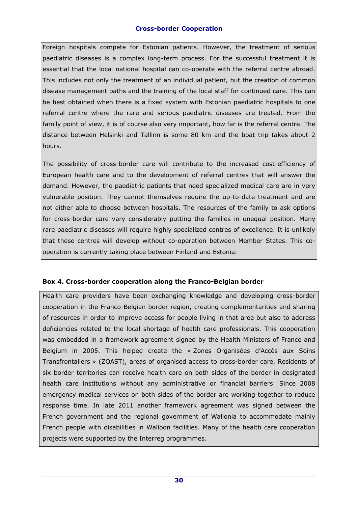Foreign hospitals compete for Estonian patients. However, the treatment of serious paediatric diseases is a complex long-term process. For the successful treatment it is essential that the local national hospital can co-operate with the referral centre abroad. This includes not only the treatment of an individual patient, but the creation of common disease management paths and the training of the local staff for continued care. This can be best obtained when there is a fixed system with Estonian paediatric hospitals to one referral centre where the rare and serious paediatric diseases are treated. From the family point of view, it is of course also very important, how far is the referral centre. The distance between Helsinki and Tallinn is some 80 km and the boat trip takes about 2 hours.

The possibility of cross-border care will contribute to the increased cost-efficiency of European health care and to the development of referral centres that will answer the demand. However, the paediatric patients that need specialized medical care are in very vulnerable position. They cannot themselves require the up-to-date treatment and are not either able to choose between hospitals. The resources of the family to ask options for cross-border care vary considerably putting the families in unequal position. Many rare paediatric diseases will require highly specialized centres of excellence. It is unlikely that these centres will develop without co-operation between Member States. This cooperation is currently taking place between Finland and Estonia.

## **Box 4. Cross-border cooperation along the Franco-Belgian border**

Health care providers have been exchanging knowledge and developing cross-border cooperation in the Franco-Belgian border region, creating complementarities and sharing of resources in order to improve access for people living in that area but also to address deficiencies related to the local shortage of health care professionals. This cooperation was embedded in a framework agreement signed by the Health Ministers of France and Belgium in 2005. This helped create the « Zones Organisées d'Accès aux Soins Transfrontaliers » (ZOAST), areas of organised access to cross-border care. Residents of six border territories can receive health care on both sides of the border in designated health care institutions without any administrative or financial barriers. Since 2008 emergency medical services on both sides of the border are working together to reduce response time. In late 2011 another framework agreement was signed between the French government and the regional government of Wallonia to accommodate mainly French people with disabilities in Walloon facilities. Many of the health care cooperation projects were supported by the Interreg programmes.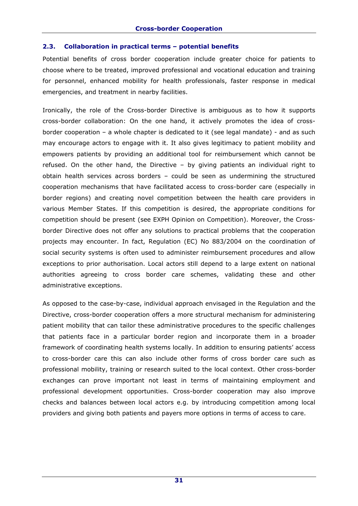#### **2.3. Collaboration in practical terms – potential benefits**

Potential benefits of cross border cooperation include greater choice for patients to choose where to be treated, improved professional and vocational education and training for personnel, enhanced mobility for health professionals, faster response in medical emergencies, and treatment in nearby facilities.

Ironically, the role of the Cross-border Directive is ambiguous as to how it supports cross-border collaboration: On the one hand, it actively promotes the idea of crossborder cooperation – a whole chapter is dedicated to it (see legal mandate) - and as such may encourage actors to engage with it. It also gives legitimacy to patient mobility and empowers patients by providing an additional tool for reimbursement which cannot be refused. On the other hand, the Directive – by giving patients an individual right to obtain health services across borders – could be seen as undermining the structured cooperation mechanisms that have facilitated access to cross-border care (especially in border regions) and creating novel competition between the health care providers in various Member States. If this competition is desired, the appropriate conditions for competition should be present (see EXPH Opinion on Competition). Moreover, the Crossborder Directive does not offer any solutions to practical problems that the cooperation projects may encounter. In fact, Regulation (EC) No 883/2004 on the coordination of social security systems is often used to administer reimbursement procedures and allow exceptions to prior authorisation. Local actors still depend to a large extent on national authorities agreeing to cross border care schemes, validating these and other administrative exceptions.

As opposed to the case-by-case, individual approach envisaged in the Regulation and the Directive, cross-border cooperation offers a more structural mechanism for administering patient mobility that can tailor these administrative procedures to the specific challenges that patients face in a particular border region and incorporate them in a broader framework of coordinating health systems locally. In addition to ensuring patients' access to cross-border care this can also include other forms of cross border care such as professional mobility, training or research suited to the local context. Other cross-border exchanges can prove important not least in terms of maintaining employment and professional development opportunities. Cross-border cooperation may also improve checks and balances between local actors e.g. by introducing competition among local providers and giving both patients and payers more options in terms of access to care.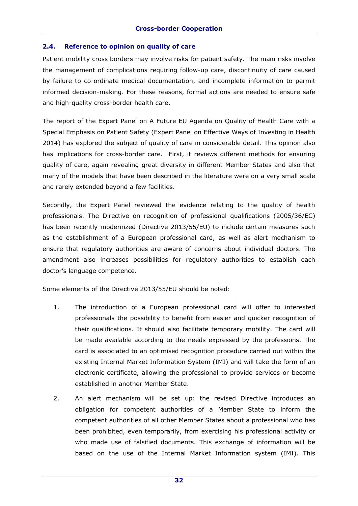## **2.4. Reference to opinion on quality of care**

Patient mobility cross borders may involve risks for patient safety. The main risks involve the management of complications requiring follow-up care, discontinuity of care caused by failure to co-ordinate medical documentation, and incomplete information to permit informed decision-making. For these reasons, formal actions are needed to ensure safe and high-quality cross-border health care.

The report of the Expert Panel on A Future EU Agenda on Quality of Health Care with a Special Emphasis on Patient Safety (Expert Panel on Effective Ways of Investing in Health 2014) has explored the subject of quality of care in considerable detail. This opinion also has implications for cross-border care. First, it reviews different methods for ensuring quality of care, again revealing great diversity in different Member States and also that many of the models that have been described in the literature were on a very small scale and rarely extended beyond a few facilities.

Secondly, the Expert Panel reviewed the evidence relating to the quality of health professionals. The Directive on recognition of professional qualifications (2005/36/EC) has been recently modernized (Directive 2013/55/EU) to include certain measures such as the establishment of a European professional card, as well as alert mechanism to ensure that regulatory authorities are aware of concerns about individual doctors. The amendment also increases possibilities for regulatory authorities to establish each doctor's language competence.

Some elements of the Directive 2013/55/EU should be noted:

- 1. The introduction of a European professional card will offer to interested professionals the possibility to benefit from easier and quicker recognition of their qualifications. It should also facilitate temporary mobility. The card will be made available according to the needs expressed by the professions. The card is associated to an optimised recognition procedure carried out within the existing Internal Market Information System (IMI) and will take the form of an electronic certificate, allowing the professional to provide services or become established in another Member State.
- 2. An alert mechanism will be set up: the revised Directive introduces an obligation for competent authorities of a Member State to inform the competent authorities of all other Member States about a professional who has been prohibited, even temporarily, from exercising his professional activity or who made use of falsified documents. This exchange of information will be based on the use of the Internal Market Information system (IMI). This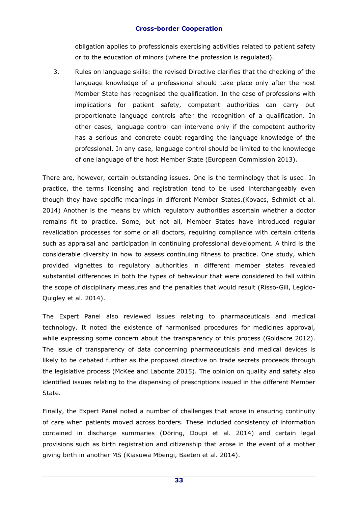obligation applies to professionals exercising activities related to patient safety or to the education of minors (where the profession is regulated).

3. Rules on language skills: the revised Directive clarifies that the checking of the language knowledge of a professional should take place only after the host Member State has recognised the qualification. In the case of professions with implications for patient safety, competent authorities can carry out proportionate language controls after the recognition of a qualification. In other cases, language control can intervene only if the competent authority has a serious and concrete doubt regarding the language knowledge of the professional. In any case, language control should be limited to the knowledge of one language of the host Member State (European Commission 2013).

There are, however, certain outstanding issues. One is the terminology that is used. In practice, the terms licensing and registration tend to be used interchangeably even though they have specific meanings in different Member States.(Kovacs, Schmidt et al. 2014) Another is the means by which regulatory authorities ascertain whether a doctor remains fit to practice. Some, but not all, Member States have introduced regular revalidation processes for some or all doctors, requiring compliance with certain criteria such as appraisal and participation in continuing professional development. A third is the considerable diversity in how to assess continuing fitness to practice. One study, which provided vignettes to regulatory authorities in different member states revealed substantial differences in both the types of behaviour that were considered to fall within the scope of disciplinary measures and the penalties that would result (Risso-Gill, Legido-Quigley et al. 2014).

The Expert Panel also reviewed issues relating to pharmaceuticals and medical technology. It noted the existence of harmonised procedures for medicines approval, while expressing some concern about the transparency of this process (Goldacre 2012). The issue of transparency of data concerning pharmaceuticals and medical devices is likely to be debated further as the proposed directive on trade secrets proceeds through the legislative process (McKee and Labonte 2015). The opinion on quality and safety also identified issues relating to the dispensing of prescriptions issued in the different Member State.

Finally, the Expert Panel noted a number of challenges that arose in ensuring continuity of care when patients moved across borders. These included consistency of information contained in discharge summaries (Döring, Doupi et al. 2014) and certain legal provisions such as birth registration and citizenship that arose in the event of a mother giving birth in another MS (Kiasuwa Mbengi, Baeten et al. 2014).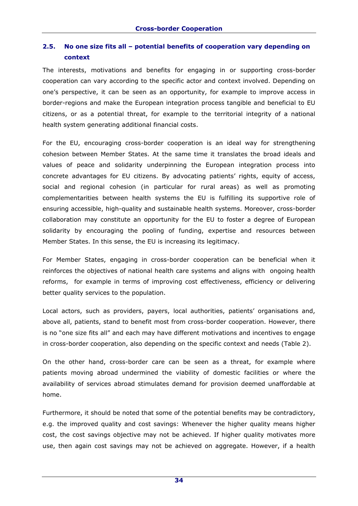# **2.5. No one size fits all – potential benefits of cooperation vary depending on context**

The interests, motivations and benefits for engaging in or supporting cross-border cooperation can vary according to the specific actor and context involved. Depending on one's perspective, it can be seen as an opportunity, for example to improve access in border-regions and make the European integration process tangible and beneficial to EU citizens, or as a potential threat, for example to the territorial integrity of a national health system generating additional financial costs.

For the EU, encouraging cross-border cooperation is an ideal way for strengthening cohesion between Member States. At the same time it translates the broad ideals and values of peace and solidarity underpinning the European integration process into concrete advantages for EU citizens. By advocating patients' rights, equity of access, social and regional cohesion (in particular for rural areas) as well as promoting complementarities between health systems the EU is fulfilling its supportive role of ensuring accessible, high-quality and sustainable health systems. Moreover, cross-border collaboration may constitute an opportunity for the EU to foster a degree of European solidarity by encouraging the pooling of funding, expertise and resources between Member States. In this sense, the EU is increasing its legitimacy.

For Member States, engaging in cross-border cooperation can be beneficial when it reinforces the objectives of national health care systems and aligns with ongoing health reforms, for example in terms of improving cost effectiveness, efficiency or delivering better quality services to the population.

Local actors, such as providers, payers, local authorities, patients' organisations and, above all, patients, stand to benefit most from cross-border cooperation. However, there is no "one size fits all" and each may have different motivations and incentives to engage in cross-border cooperation, also depending on the specific context and needs (Table 2).

On the other hand, cross-border care can be seen as a threat, for example where patients moving abroad undermined the viability of domestic facilities or where the availability of services abroad stimulates demand for provision deemed unaffordable at home.

Furthermore, it should be noted that some of the potential benefits may be contradictory, e.g. the improved quality and cost savings: Whenever the higher quality means higher cost, the cost savings objective may not be achieved. If higher quality motivates more use, then again cost savings may not be achieved on aggregate. However, if a health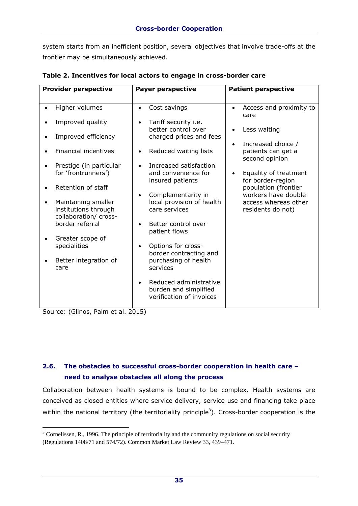system starts from an inefficient position, several objectives that involve trade-offs at the frontier may be simultaneously achieved.

| <b>Provider perspective</b>                                                       | <b>Payer perspective</b>                                                                 | <b>Patient perspective</b>                                 |  |
|-----------------------------------------------------------------------------------|------------------------------------------------------------------------------------------|------------------------------------------------------------|--|
|                                                                                   |                                                                                          |                                                            |  |
| Higher volumes                                                                    | Cost savings<br>$\bullet$                                                                | Access and proximity to<br>$\bullet$<br>care               |  |
| Improved quality                                                                  | Tariff security i.e.<br>better control over                                              | Less waiting                                               |  |
| Improved efficiency<br>$\bullet$                                                  | charged prices and fees                                                                  |                                                            |  |
| <b>Financial incentives</b>                                                       | Reduced waiting lists                                                                    | Increased choice /<br>patients can get a<br>second opinion |  |
| Prestige (in particular<br>for 'frontrunners')                                    | Increased satisfaction<br>and convenience for<br>insured patients                        | Equality of treatment<br>for border-region                 |  |
| Retention of staff                                                                | Complementarity in                                                                       | population (frontier<br>workers have double                |  |
| Maintaining smaller<br>$\bullet$<br>institutions through<br>collaboration/ cross- | local provision of health<br>care services                                               | access whereas other<br>residents do not)                  |  |
| border referral                                                                   | Better control over<br>patient flows                                                     |                                                            |  |
| Greater scope of<br>specialities                                                  | Options for cross-<br>$\bullet$<br>border contracting and                                |                                                            |  |
| Better integration of<br>care                                                     | purchasing of health<br>services                                                         |                                                            |  |
|                                                                                   | Reduced administrative<br>$\bullet$<br>burden and simplified<br>verification of invoices |                                                            |  |

**Table 2. Incentives for local actors to engage in cross-border care**

Source: (Glinos, Palm et al. 2015)

# **2.6. The obstacles to successful cross-border cooperation in health care – need to analyse obstacles all along the process**

Collaboration between health systems is bound to be complex. Health systems are conceived as closed entities where service delivery, service use and financing take place within the national territory (the territoriality principle<sup>3</sup>). Cross-border cooperation is the

<sup>-</sup><sup>3</sup> Cornelissen, R., 1996. The principle of territoriality and the community regulations on social security (Regulations 1408/71 and 574/72). Common Market Law Review 33, 439–471.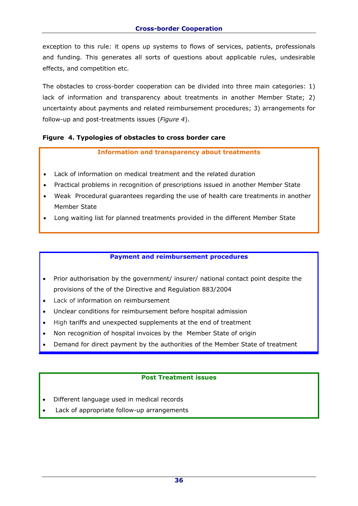exception to this rule: it opens up systems to flows of services, patients, professionals and funding. This generates all sorts of questions about applicable rules, undesirable effects, and competition etc.

The obstacles to cross-border cooperation can be divided into three main categories: 1) lack of information and transparency about treatments in another Member State; 2) uncertainty about payments and related reimbursement procedures; 3) arrangements for follow-up and post-treatments issues (*Figure 4*).

## **Figure 4. Typologies of obstacles to cross border care**

#### **Information and transparency about treatments**

- Lack of information on medical treatment and the related duration
- Practical problems in recognition of prescriptions issued in another Member State
- Weak Procedural guarantees regarding the use of health care treatments in another Member State
- Long waiting list for planned treatments provided in the different Member State

#### **Payment and reimbursement procedures**

- Prior authorisation by the government/ insurer/ national contact point despite the provisions of the of the Directive and Regulation 883/2004
- Lack of information on reimbursement
- Unclear conditions for reimbursement before hospital admission
- High tariffs and unexpected supplements at the end of treatment
- Non recognition of hospital invoices by the Member State of origin
- Demand for direct payment by the authorities of the Member State of treatment

## **Post Treatment issues**

- Different language used in medical records
- Lack of appropriate follow-up arrangements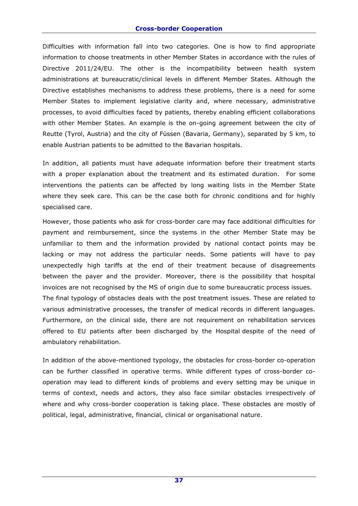Difficulties with information fall into two categories. One is how to find appropriate information to choose treatments in other Member States in accordance with the rules of Directive 2011/24/EU. The other is the incompatibility between health system administrations at bureaucratic/clinical levels in different Member States. Although the Directive establishes mechanisms to address these problems, there is a need for some Member States to implement legislative clarity and, where necessary, administrative processes, to avoid difficulties faced by patients, thereby enabling efficient collaborations with other Member States. An example is the on-going agreement between the city of Reutte (Tyrol, Austria) and the city of Füssen (Bavaria, Germany), separated by 5 km, to enable Austrian patients to be admitted to the Bavarian hospitals.

In addition, all patients must have adequate information before their treatment starts with a proper explanation about the treatment and its estimated duration. For some interventions the patients can be affected by long waiting lists in the Member State where they seek care. This can be the case both for chronic conditions and for highly specialised care.

However, those patients who ask for cross-border care may face additional difficulties for payment and reimbursement, since the systems in the other Member State may be unfamiliar to them and the information provided by national contact points may be lacking or may not address the particular needs. Some patients will have to pay unexpectedly high tariffs at the end of their treatment because of disagreements between the payer and the provider. Moreover, there is the possibility that hospital invoices are not recognised by the MS of origin due to some bureaucratic process issues. The final typology of obstacles deals with the post treatment issues. These are related to various administrative processes, the transfer of medical records in different languages. Furthermore, on the clinical side, there are not requirement on rehabilitation services offered to EU patients after been discharged by the Hospital despite of the need of ambulatory rehabilitation.

In addition of the above-mentioned typology, the obstacles for cross-border co-operation can be further classified in operative terms. While different types of cross-border cooperation may lead to different kinds of problems and every setting may be unique in terms of context, needs and actors, they also face similar obstacles irrespectively of where and why cross-border cooperation is taking place. These obstacles are mostly of political, legal, administrative, financial, clinical or organisational nature.

**37**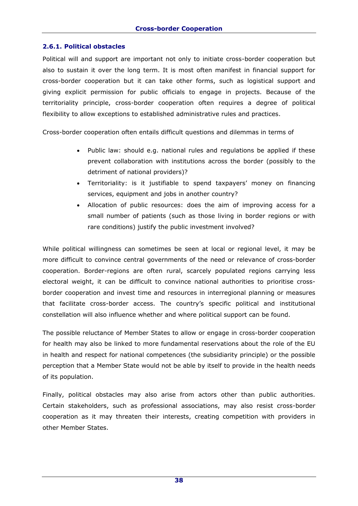### **2.6.1. Political obstacles**

Political will and support are important not only to initiate cross-border cooperation but also to sustain it over the long term. It is most often manifest in financial support for cross-border cooperation but it can take other forms, such as logistical support and giving explicit permission for public officials to engage in projects. Because of the territoriality principle, cross-border cooperation often requires a degree of political flexibility to allow exceptions to established administrative rules and practices.

Cross-border cooperation often entails difficult questions and dilemmas in terms of

- Public law: should e.g. national rules and regulations be applied if these prevent collaboration with institutions across the border (possibly to the detriment of national providers)?
- Territoriality: is it justifiable to spend taxpayers' money on financing services, equipment and jobs in another country?
- Allocation of public resources: does the aim of improving access for a small number of patients (such as those living in border regions or with rare conditions) justify the public investment involved?

While political willingness can sometimes be seen at local or regional level, it may be more difficult to convince central governments of the need or relevance of cross-border cooperation. Border-regions are often rural, scarcely populated regions carrying less electoral weight, it can be difficult to convince national authorities to prioritise crossborder cooperation and invest time and resources in interregional planning or measures that facilitate cross-border access. The country's specific political and institutional constellation will also influence whether and where political support can be found.

The possible reluctance of Member States to allow or engage in cross-border cooperation for health may also be linked to more fundamental reservations about the role of the EU in health and respect for national competences (the subsidiarity principle) or the possible perception that a Member State would not be able by itself to provide in the health needs of its population.

Finally, political obstacles may also arise from actors other than public authorities. Certain stakeholders, such as professional associations, may also resist cross-border cooperation as it may threaten their interests, creating competition with providers in other Member States.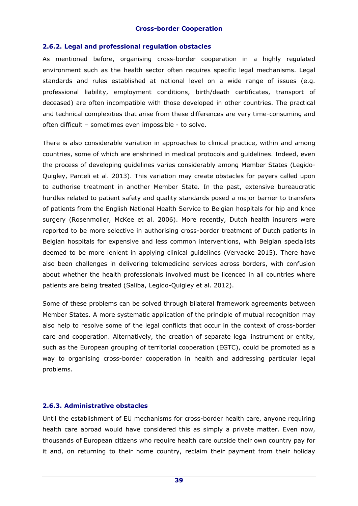### **2.6.2. Legal and professional regulation obstacles**

As mentioned before, organising cross-border cooperation in a highly regulated environment such as the health sector often requires specific legal mechanisms. Legal standards and rules established at national level on a wide range of issues (e.g. professional liability, employment conditions, birth/death certificates, transport of deceased) are often incompatible with those developed in other countries. The practical and technical complexities that arise from these differences are very time-consuming and often difficult – sometimes even impossible - to solve.

There is also considerable variation in approaches to clinical practice, within and among countries, some of which are enshrined in medical protocols and guidelines. Indeed, even the process of developing guidelines varies considerably among Member States (Legido-Quigley, Panteli et al. 2013). This variation may create obstacles for payers called upon to authorise treatment in another Member State. In the past, extensive bureaucratic hurdles related to patient safety and quality standards posed a major barrier to transfers of patients from the English National Health Service to Belgian hospitals for hip and knee surgery (Rosenmoller, McKee et al. 2006). More recently, Dutch health insurers were reported to be more selective in authorising cross-border treatment of Dutch patients in Belgian hospitals for expensive and less common interventions, with Belgian specialists deemed to be more lenient in applying clinical guidelines (Vervaeke 2015). There have also been challenges in delivering telemedicine services across borders, with confusion about whether the health professionals involved must be licenced in all countries where patients are being treated (Saliba, Legido-Quigley et al. 2012).

Some of these problems can be solved through bilateral framework agreements between Member States. A more systematic application of the principle of mutual recognition may also help to resolve some of the legal conflicts that occur in the context of cross-border care and cooperation. Alternatively, the creation of separate legal instrument or entity, such as the European grouping of territorial cooperation (EGTC), could be promoted as a way to organising cross-border cooperation in health and addressing particular legal problems.

# **2.6.3. Administrative obstacles**

Until the establishment of EU mechanisms for cross-border health care, anyone requiring health care abroad would have considered this as simply a private matter. Even now, thousands of European citizens who require health care outside their own country pay for it and, on returning to their home country, reclaim their payment from their holiday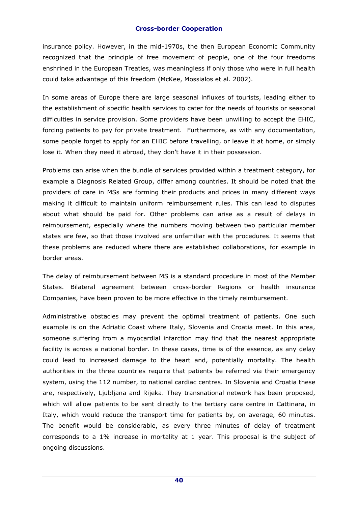insurance policy. However, in the mid-1970s, the then European Economic Community recognized that the principle of free movement of people, one of the four freedoms enshrined in the European Treaties, was meaningless if only those who were in full health could take advantage of this freedom (McKee, Mossialos et al. 2002).

In some areas of Europe there are large seasonal influxes of tourists, leading either to the establishment of specific health services to cater for the needs of tourists or seasonal difficulties in service provision. Some providers have been unwilling to accept the EHIC, forcing patients to pay for private treatment. Furthermore, as with any documentation, some people forget to apply for an EHIC before travelling, or leave it at home, or simply lose it. When they need it abroad, they don't have it in their possession.

Problems can arise when the bundle of services provided within a treatment category, for example a Diagnosis Related Group, differ among countries. It should be noted that the providers of care in MSs are forming their products and prices in many different ways making it difficult to maintain uniform reimbursement rules. This can lead to disputes about what should be paid for. Other problems can arise as a result of delays in reimbursement, especially where the numbers moving between two particular member states are few, so that those involved are unfamiliar with the procedures. It seems that these problems are reduced where there are established collaborations, for example in border areas.

The delay of reimbursement between MS is a standard procedure in most of the Member States. Bilateral agreement between cross-border Regions or health insurance Companies, have been proven to be more effective in the timely reimbursement.

Administrative obstacles may prevent the optimal treatment of patients. One such example is on the Adriatic Coast where Italy, Slovenia and Croatia meet. In this area, someone suffering from a myocardial infarction may find that the nearest appropriate facility is across a national border. In these cases, time is of the essence, as any delay could lead to increased damage to the heart and, potentially mortality. The health authorities in the three countries require that patients be referred via their emergency system, using the 112 number, to national cardiac centres. In Slovenia and Croatia these are, respectively, Ljubljana and Rijeka. They transnational network has been proposed, which will allow patients to be sent directly to the tertiary care centre in Cattinara, in Italy, which would reduce the transport time for patients by, on average, 60 minutes. The benefit would be considerable, as every three minutes of delay of treatment corresponds to a 1% increase in mortality at 1 year. This proposal is the subject of ongoing discussions.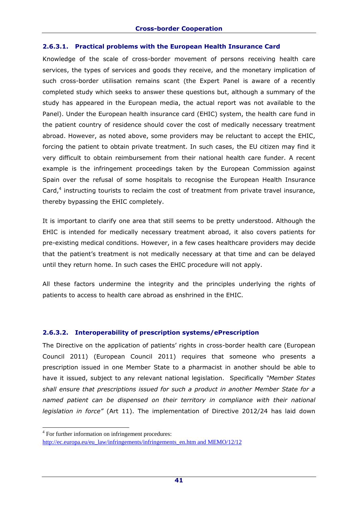### **2.6.3.1. Practical problems with the European Health Insurance Card**

Knowledge of the scale of cross-border movement of persons receiving health care services, the types of services and goods they receive, and the monetary implication of such cross-border utilisation remains scant (the Expert Panel is aware of a recently completed study which seeks to answer these questions but, although a summary of the study has appeared in the European media, the actual report was not available to the Panel). Under the European health insurance card (EHIC) system, the health care fund in the patient country of residence should cover the cost of medically necessary treatment abroad. However, as noted above, some providers may be reluctant to accept the EHIC, forcing the patient to obtain private treatment. In such cases, the EU citizen may find it very difficult to obtain reimbursement from their national health care funder. A recent example is the infringement proceedings taken by the European Commission against Spain over the refusal of some hospitals to recognise the European Health Insurance Card,<sup>4</sup> instructing tourists to reclaim the cost of treatment from private travel insurance, thereby bypassing the EHIC completely.

It is important to clarify one area that still seems to be pretty understood. Although the EHIC is intended for medically necessary treatment abroad, it also covers patients for pre-existing medical conditions. However, in a few cases healthcare providers may decide that the patient's treatment is not medically necessary at that time and can be delayed until they return home. In such cases the EHIC procedure will not apply.

All these factors undermine the integrity and the principles underlying the rights of patients to access to health care abroad as enshrined in the EHIC.

# **2.6.3.2. Interoperability of prescription systems/ePrescription**

The Directive on the application of patients' rights in cross-border health care (European Council 2011) (European Council 2011) requires that someone who presents a prescription issued in one Member State to a pharmacist in another should be able to have it issued, subject to any relevant national legislation. Specifically *"Member States shall ensure that prescriptions issued for such a product in another Member State for a named patient can be dispensed on their territory in compliance with their national legislation in force"* (Art 11). The implementation of Directive 2012/24 has laid down

-

<sup>&</sup>lt;sup>4</sup> For further information on infringement procedures:

[http://ec.europa.eu/eu\\_law/infringements/infringements\\_en.htm and MEMO/12/12](http://ec.europa.eu/eu_law/infringements/infringements_en.htmand%20MEMO/12/12)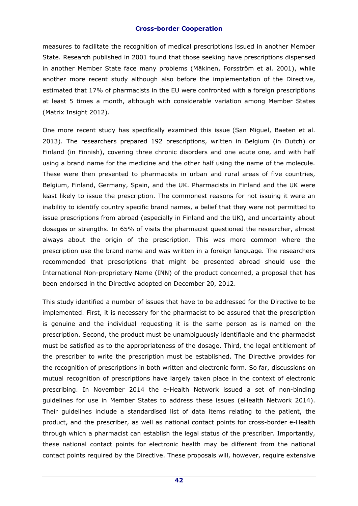measures to facilitate the recognition of medical prescriptions issued in another Member State. Research published in 2001 found that those seeking have prescriptions dispensed in another Member State face many problems (Mäkinen, Forsström et al. 2001), while another more recent study although also before the implementation of the Directive, estimated that 17% of pharmacists in the EU were confronted with a foreign prescriptions at least 5 times a month, although with considerable variation among Member States (Matrix Insight 2012).

One more recent study has specifically examined this issue (San Miguel, Baeten et al. 2013). The researchers prepared 192 prescriptions, written in Belgium (in Dutch) or Finland (in Finnish), covering three chronic disorders and one acute one, and with half using a brand name for the medicine and the other half using the name of the molecule. These were then presented to pharmacists in urban and rural areas of five countries, Belgium, Finland, Germany, Spain, and the UK. Pharmacists in Finland and the UK were least likely to issue the prescription. The commonest reasons for not issuing it were an inability to identify country specific brand names, a belief that they were not permitted to issue prescriptions from abroad (especially in Finland and the UK), and uncertainty about dosages or strengths. In 65% of visits the pharmacist questioned the researcher, almost always about the origin of the prescription. This was more common where the prescription use the brand name and was written in a foreign language. The researchers recommended that prescriptions that might be presented abroad should use the International Non-proprietary Name (INN) of the product concerned, a proposal that has been endorsed in the Directive adopted on December 20, 2012.

This study identified a number of issues that have to be addressed for the Directive to be implemented. First, it is necessary for the pharmacist to be assured that the prescription is genuine and the individual requesting it is the same person as is named on the prescription. Second, the product must be unambiguously identifiable and the pharmacist must be satisfied as to the appropriateness of the dosage. Third, the legal entitlement of the prescriber to write the prescription must be established. The Directive provides for the recognition of prescriptions in both written and electronic form. So far, discussions on mutual recognition of prescriptions have largely taken place in the context of electronic prescribing. In November 2014 the e-Health Network issued a set of non-binding guidelines for use in Member States to address these issues (eHealth Network 2014). Their guidelines include a standardised list of data items relating to the patient, the product, and the prescriber, as well as national contact points for cross-border e-Health through which a pharmacist can establish the legal status of the prescriber. Importantly, these national contact points for electronic health may be different from the national contact points required by the Directive. These proposals will, however, require extensive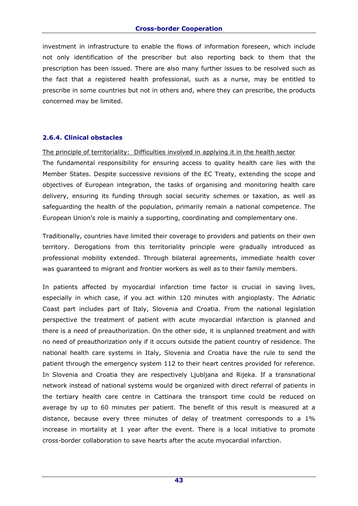investment in infrastructure to enable the flows of information foreseen, which include not only identification of the prescriber but also reporting back to them that the prescription has been issued. There are also many further issues to be resolved such as the fact that a registered health professional, such as a nurse, may be entitled to prescribe in some countries but not in others and, where they can prescribe, the products concerned may be limited.

### **2.6.4. Clinical obstacles**

The principle of territoriality: Difficulties involved in applying it in the health sector

The fundamental responsibility for ensuring access to quality health care lies with the Member States. Despite successive revisions of the EC Treaty, extending the scope and objectives of European integration, the tasks of organising and monitoring health care delivery, ensuring its funding through social security schemes or taxation, as well as safeguarding the health of the population, primarily remain a national competence. The European Union's role is mainly a supporting, coordinating and complementary one.

Traditionally, countries have limited their coverage to providers and patients on their own territory. Derogations from this territoriality principle were gradually introduced as professional mobility extended. Through bilateral agreements, immediate health cover was guaranteed to migrant and frontier workers as well as to their family members.

In patients affected by myocardial infarction time factor is crucial in saving lives, especially in which case, if you act within 120 minutes with angioplasty. The Adriatic Coast part includes part of Italy, Slovenia and Croatia. From the national legislation perspective the treatment of patient with acute myocardial infarction is planned and there is a need of preauthorization. On the other side, it is unplanned treatment and with no need of preauthorization only if it occurs outside the patient country of residence. The national health care systems in Italy, Slovenia and Croatia have the rule to send the patient through the emergency system 112 to their heart centres provided for reference. In Slovenia and Croatia they are respectively Ljubljana and Rijeka. If a transnational network instead of national systems would be organized with direct referral of patients in the tertiary health care centre in Cattinara the transport time could be reduced on average by up to 60 minutes per patient. The benefit of this result is measured at a distance, because every three minutes of delay of treatment corresponds to a 1% increase in mortality at 1 year after the event. There is a local initiative to promote cross-border collaboration to save hearts after the acute myocardial infarction.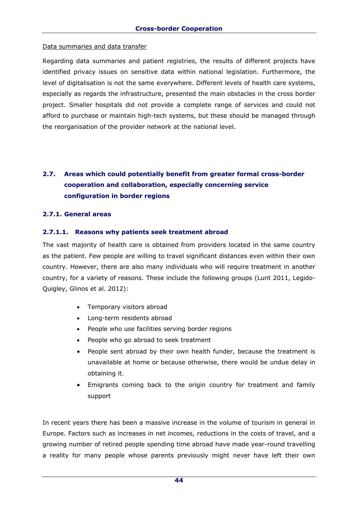### Data summaries and data transfer

Regarding data summaries and patient registries, the results of different projects have identified privacy issues on sensitive data within national legislation. Furthermore, the level of digitalisation is not the same everywhere. Different levels of health care systems, especially as regards the infrastructure, presented the main obstacles in the cross border project. Smaller hospitals did not provide a complete range of services and could not afford to purchase or maintain high-tech systems, but these should be managed through the reorganisation of the provider network at the national level.

# **2.7. Areas which could potentially benefit from greater formal cross-border cooperation and collaboration, especially concerning service configuration in border regions**

# **2.7.1. General areas**

# **2.7.1.1. Reasons why patients seek treatment abroad**

The vast majority of health care is obtained from providers located in the same country as the patient. Few people are willing to travel significant distances even within their own country. However, there are also many individuals who will require treatment in another country, for a variety of reasons. These include the following groups (Lunt 2011, Legido-Quigley, Glinos et al. 2012):

- Temporary visitors abroad
- Long-term residents abroad
- People who use facilities serving border regions
- People who go abroad to seek treatment
- People sent abroad by their own health funder, because the treatment is unavailable at home or because otherwise, there would be undue delay in obtaining it.
- Emigrants coming back to the origin country for treatment and family support

In recent years there has been a massive increase in the volume of tourism in general in Europe. Factors such as increases in net incomes, reductions in the costs of travel, and a growing number of retired people spending time abroad have made year-round travelling a reality for many people whose parents previously might never have left their own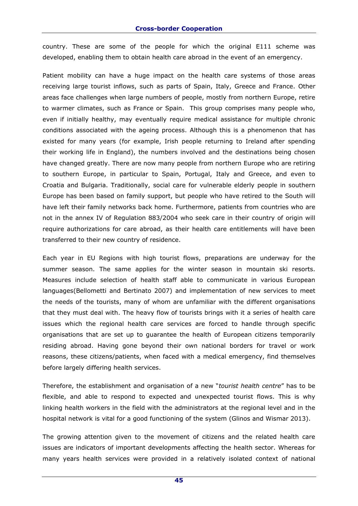country. These are some of the people for which the original E111 scheme was developed, enabling them to obtain health care abroad in the event of an emergency.

Patient mobility can have a huge impact on the health care systems of those areas receiving large tourist inflows, such as parts of Spain, Italy, Greece and France. Other areas face challenges when large numbers of people, mostly from northern Europe, retire to warmer climates, such as France or Spain. This group comprises many people who, even if initially healthy, may eventually require medical assistance for multiple chronic conditions associated with the ageing process. Although this is a phenomenon that has existed for many years (for example, Irish people returning to Ireland after spending their working life in England), the numbers involved and the destinations being chosen have changed greatly. There are now many people from northern Europe who are retiring to southern Europe, in particular to Spain, Portugal, Italy and Greece, and even to Croatia and Bulgaria. Traditionally, social care for vulnerable elderly people in southern Europe has been based on family support, but people who have retired to the South will have left their family networks back home. Furthermore, patients from countries who are not in the annex IV of Regulation 883/2004 who seek care in their country of origin will require authorizations for care abroad, as their health care entitlements will have been transferred to their new country of residence.

Each year in EU Regions with high tourist flows, preparations are underway for the summer season. The same applies for the winter season in mountain ski resorts. Measures include selection of health staff able to communicate in various European languages(Bellometti and Bertinato 2007) and implementation of new services to meet the needs of the tourists, many of whom are unfamiliar with the different organisations that they must deal with. The heavy flow of tourists brings with it a series of health care issues which the regional health care services are forced to handle through specific organisations that are set up to guarantee the health of European citizens temporarily residing abroad. Having gone beyond their own national borders for travel or work reasons, these citizens/patients, when faced with a medical emergency, find themselves before largely differing health services.

Therefore, the establishment and organisation of a new "*tourist health centre*" has to be flexible, and able to respond to expected and unexpected tourist flows. This is why linking health workers in the field with the administrators at the regional level and in the hospital network is vital for a good functioning of the system (Glinos and Wismar 2013).

The growing attention given to the movement of citizens and the related health care issues are indicators of important developments affecting the health sector. Whereas for many years health services were provided in a relatively isolated context of national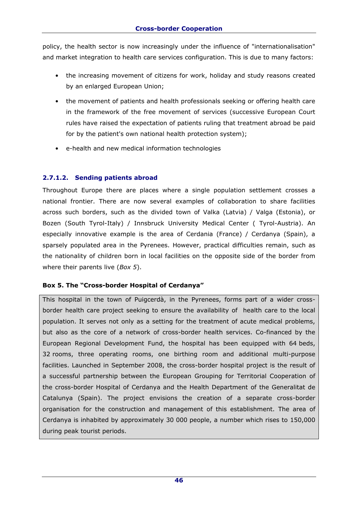policy, the health sector is now increasingly under the influence of "internationalisation" and market integration to health care services configuration. This is due to many factors:

- the increasing movement of citizens for work, holiday and study reasons created by an enlarged European Union;
- the movement of patients and health professionals seeking or offering health care in the framework of the free movement of services (successive European Court rules have raised the expectation of patients ruling that treatment abroad be paid for by the patient's own national health protection system);
- e-health and new medical information technologies

# **2.7.1.2. Sending patients abroad**

Throughout Europe there are places where a single population settlement crosses a national frontier. There are now several examples of collaboration to share facilities across such borders, such as the divided town of Valka (Latvia) / Valga (Estonia), or Bozen (South Tyrol-Italy) / Innsbruck University Medical Center ( Tyrol-Austria). An especially innovative example is the area of Cerdania (France) / Cerdanya (Spain), a sparsely populated area in the Pyrenees. However, practical difficulties remain, such as the nationality of children born in local facilities on the opposite side of the border from where their parents live (*Box 5*).

# **Box 5. The "Cross-border Hospital of Cerdanya"**

This hospital in the town of Puigcerdà, in the Pyrenees, forms part of a wider crossborder health care project seeking to ensure the availability of health care to the local population. It serves not only as a setting for the treatment of acute medical problems, but also as the core of a network of cross-border health services. Co-financed by the European Regional Development Fund, the hospital has been equipped with 64 beds, 32 rooms, three operating rooms, one birthing room and additional multi-purpose facilities. Launched in September 2008, the cross-border hospital project is the result of a successful partnership between the European Grouping for Territorial Cooperation of the cross-border Hospital of Cerdanya and the Health Department of the Generalitat de Catalunya (Spain). The project envisions the creation of a separate cross-border organisation for the construction and management of this establishment. The area of Cerdanya is inhabited by approximately 30 000 people, a number which rises to 150,000 during peak tourist periods.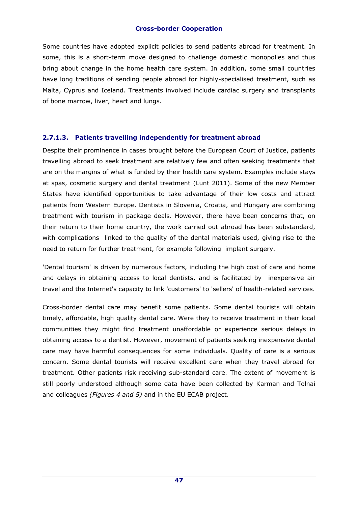Some countries have adopted explicit policies to send patients abroad for treatment. In some, this is a short-term move designed to challenge domestic monopolies and thus bring about change in the home health care system. In addition, some small countries have long traditions of sending people abroad for highly-specialised treatment, such as Malta, Cyprus and Iceland. Treatments involved include cardiac surgery and transplants of bone marrow, liver, heart and lungs.

# **2.7.1.3. Patients travelling independently for treatment abroad**

Despite their prominence in cases brought before the European Court of Justice, patients travelling abroad to seek treatment are relatively few and often seeking treatments that are on the margins of what is funded by their health care system. Examples include stays at spas, cosmetic surgery and dental treatment (Lunt 2011). Some of the new Member States have identified opportunities to take advantage of their low costs and attract patients from Western Europe. Dentists in Slovenia, Croatia, and Hungary are combining treatment with tourism in package deals. However, there have been concerns that, on their return to their home country, the work carried out abroad has been substandard, with complications linked to the quality of the dental materials used, giving rise to the need to return for further treatment, for example following implant surgery.

'Dental tourism' is driven by numerous factors, including the high cost of care and home and delays in obtaining access to local dentists, and is facilitated by inexpensive air travel and the Internet's capacity to link 'customers' to 'sellers' of health-related services.

Cross-border dental care may benefit some patients. Some dental tourists will obtain timely, affordable, high quality dental care. Were they to receive treatment in their local communities they might find treatment unaffordable or experience serious delays in obtaining access to a dentist. However, movement of patients seeking inexpensive dental care may have harmful consequences for some individuals. Quality of care is a serious concern. Some dental tourists will receive excellent care when they travel abroad for treatment. Other patients risk receiving sub-standard care. The extent of movement is still poorly understood although some data have been collected by Karman and Tolnai and colleagues *(Figures 4 and 5)* and in the EU ECAB project.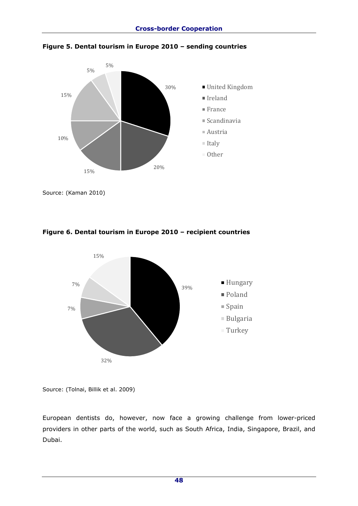



Source: (Kaman 2010)



# **Figure 6. Dental tourism in Europe 2010 – recipient countries**

Source: (Tolnai, Billik et al. 2009)

European dentists do, however, now face a growing challenge from lower-priced providers in other parts of the world, such as South Africa, India, Singapore, Brazil, and Dubai.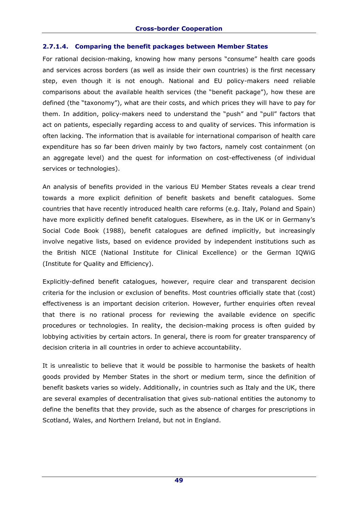# **2.7.1.4. Comparing the benefit packages between Member States**

For rational decision-making, knowing how many persons "consume" health care goods and services across borders (as well as inside their own countries) is the first necessary step, even though it is not enough. National and EU policy-makers need reliable comparisons about the available health services (the "benefit package"), how these are defined (the "taxonomy"), what are their costs, and which prices they will have to pay for them. In addition, policy-makers need to understand the "push" and "pull" factors that act on patients, especially regarding access to and quality of services. This information is often lacking. The information that is available for international comparison of health care expenditure has so far been driven mainly by two factors, namely cost containment (on an aggregate level) and the quest for information on cost-effectiveness (of individual services or technologies).

An analysis of benefits provided in the various EU Member States reveals a clear trend towards a more explicit definition of benefit baskets and benefit catalogues. Some countries that have recently introduced health care reforms (e.g. Italy, Poland and Spain) have more explicitly defined benefit catalogues. Elsewhere, as in the UK or in Germany's Social Code Book (1988), benefit catalogues are defined implicitly, but increasingly involve negative lists, based on evidence provided by independent institutions such as the British NICE (National Institute for Clinical Excellence) or the German IQWiG (Institute for Quality and Efficiency).

Explicitly-defined benefit catalogues, however, require clear and transparent decision criteria for the inclusion or exclusion of benefits. Most countries officially state that (cost) effectiveness is an important decision criterion. However, further enquiries often reveal that there is no rational process for reviewing the available evidence on specific procedures or technologies. In reality, the decision-making process is often guided by lobbying activities by certain actors. In general, there is room for greater transparency of decision criteria in all countries in order to achieve accountability.

It is unrealistic to believe that it would be possible to harmonise the baskets of health goods provided by Member States in the short or medium term, since the definition of benefit baskets varies so widely. Additionally, in countries such as Italy and the UK, there are several examples of decentralisation that gives sub-national entities the autonomy to define the benefits that they provide, such as the absence of charges for prescriptions in Scotland, Wales, and Northern Ireland, but not in England.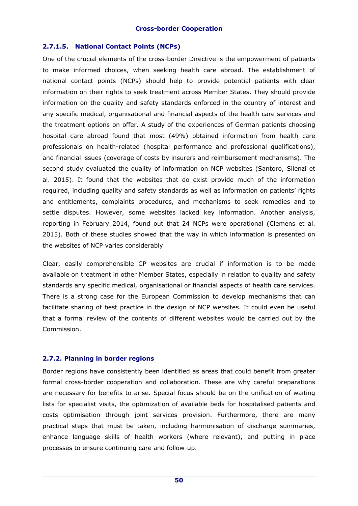# **2.7.1.5. National Contact Points (NCPs)**

One of the crucial elements of the cross-border Directive is the empowerment of patients to make informed choices, when seeking health care abroad. The establishment of national contact points (NCPs) should help to provide potential patients with clear information on their rights to seek treatment across Member States. They should provide information on the quality and safety standards enforced in the country of interest and any specific medical, organisational and financial aspects of the health care services and the treatment options on offer. A study of the experiences of German patients choosing hospital care abroad found that most (49%) obtained information from health care professionals on health-related (hospital performance and professional qualifications), and financial issues (coverage of costs by insurers and reimbursement mechanisms). The second study evaluated the quality of information on NCP websites (Santoro, Silenzi et al. 2015). It found that the websites that do exist provide much of the information required, including quality and safety standards as well as information on patients' rights and entitlements, complaints procedures, and mechanisms to seek remedies and to settle disputes. However, some websites lacked key information. Another analysis, reporting in February 2014, found out that 24 NCPs were operational (Clemens et al. 2015). Both of these studies showed that the way in which information is presented on the websites of NCP varies considerably

Clear, easily comprehensible CP websites are crucial if information is to be made available on treatment in other Member States, especially in relation to quality and safety standards any specific medical, organisational or financial aspects of health care services. There is a strong case for the European Commission to develop mechanisms that can facilitate sharing of best practice in the design of NCP websites. It could even be useful that a formal review of the contents of different websites would be carried out by the Commission.

# **2.7.2. Planning in border regions**

Border regions have consistently been identified as areas that could benefit from greater formal cross-border cooperation and collaboration. These are why careful preparations are necessary for benefits to arise. Special focus should be on the unification of waiting lists for specialist visits, the optimization of available beds for hospitalised patients and costs optimisation through joint services provision. Furthermore, there are many practical steps that must be taken, including harmonisation of discharge summaries, enhance language skills of health workers (where relevant), and putting in place processes to ensure continuing care and follow-up.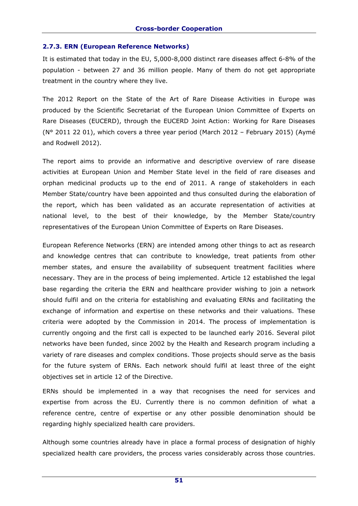### **2.7.3. ERN (European Reference Networks)**

It is estimated that today in the EU, 5,000-8,000 distinct rare diseases affect 6-8% of the population - between 27 and 36 million people. Many of them do not get appropriate treatment in the country where they live.

The 2012 Report on the State of the Art of Rare Disease Activities in Europe was produced by the Scientific Secretariat of the European Union Committee of Experts on Rare Diseases (EUCERD), through the EUCERD Joint Action: Working for Rare Diseases (N° 2011 22 01), which covers a three year period (March 2012 – February 2015) (Aymé and Rodwell 2012).

The report aims to provide an informative and descriptive overview of rare disease activities at European Union and Member State level in the field of rare diseases and orphan medicinal products up to the end of 2011. A range of stakeholders in each Member State/country have been appointed and thus consulted during the elaboration of the report, which has been validated as an accurate representation of activities at national level, to the best of their knowledge, by the Member State/country representatives of the European Union Committee of Experts on Rare Diseases.

European Reference Networks (ERN) are intended among other things to act as research and knowledge centres that can contribute to knowledge, treat patients from other member states, and ensure the availability of subsequent treatment facilities where necessary. They are in the process of being implemented. Article 12 established the legal base regarding the criteria the ERN and healthcare provider wishing to join a network should fulfil and on the criteria for establishing and evaluating ERNs and facilitating the exchange of information and expertise on these networks and their valuations. These criteria were adopted by the Commission in 2014. The process of implementation is currently ongoing and the first call is expected to be launched early 2016. Several pilot networks have been funded, since 2002 by the Health and Research program including a variety of rare diseases and complex conditions. Those projects should serve as the basis for the future system of ERNs. Each network should fulfil at least three of the eight objectives set in article 12 of the Directive.

ERNs should be implemented in a way that recognises the need for services and expertise from across the EU. Currently there is no common definition of what a reference centre, centre of expertise or any other possible denomination should be regarding highly specialized health care providers.

Although some countries already have in place a formal process of designation of highly specialized health care providers, the process varies considerably across those countries.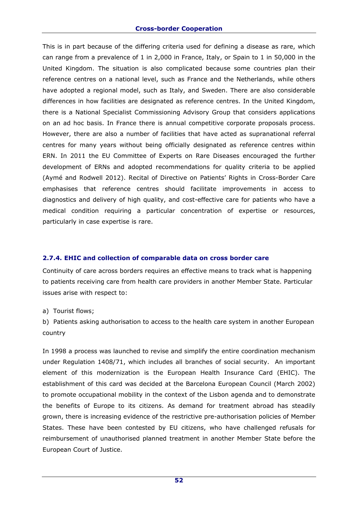This is in part because of the differing criteria used for defining a disease as rare, which can range from a prevalence of 1 in 2,000 in France, Italy, or Spain to 1 in 50,000 in the United Kingdom. The situation is also complicated because some countries plan their reference centres on a national level, such as France and the Netherlands, while others have adopted a regional model, such as Italy, and Sweden. There are also considerable differences in how facilities are designated as reference centres. In the United Kingdom, there is a National Specialist Commissioning Advisory Group that considers applications on an ad hoc basis. In France there is annual competitive corporate proposals process. However, there are also a number of facilities that have acted as supranational referral centres for many years without being officially designated as reference centres within ERN. In 2011 the EU Committee of Experts on Rare Diseases encouraged the further development of ERNs and adopted recommendations for quality criteria to be applied (Aymé and Rodwell 2012). Recital of Directive on Patients' Rights in Cross-Border Care emphasises that reference centres should facilitate improvements in access to diagnostics and delivery of high quality, and cost-effective care for patients who have a medical condition requiring a particular concentration of expertise or resources, particularly in case expertise is rare.

# **2.7.4. EHIC and collection of comparable data on cross border care**

Continuity of care across borders requires an effective means to track what is happening to patients receiving care from health care providers in another Member State. Particular issues arise with respect to:

a) Tourist flows;

b) Patients asking authorisation to access to the health care system in another European country

In 1998 a process was launched to revise and simplify the entire coordination mechanism under Regulation 1408/71, which includes all branches of social security. An important element of this modernization is the European Health Insurance Card (EHIC). The establishment of this card was decided at the Barcelona European Council (March 2002) to promote occupational mobility in the context of the Lisbon agenda and to demonstrate the benefits of Europe to its citizens. As demand for treatment abroad has steadily grown, there is increasing evidence of the restrictive pre-authorisation policies of Member States. These have been contested by EU citizens, who have challenged refusals for reimbursement of unauthorised planned treatment in another Member State before the European Court of Justice.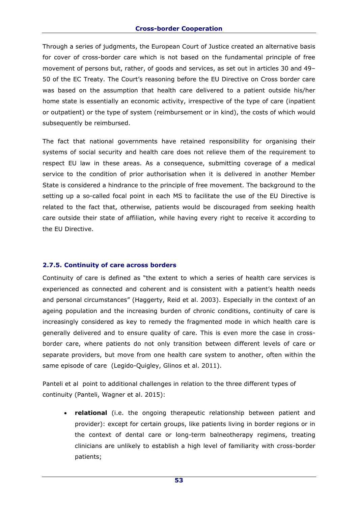Through a series of judgments, the European Court of Justice created an alternative basis for cover of cross-border care which is not based on the fundamental principle of free movement of persons but, rather, of goods and services, as set out in articles 30 and 49– 50 of the EC Treaty. The Court's reasoning before the EU Directive on Cross border care was based on the assumption that health care delivered to a patient outside his/her home state is essentially an economic activity, irrespective of the type of care (inpatient or outpatient) or the type of system (reimbursement or in kind), the costs of which would subsequently be reimbursed.

The fact that national governments have retained responsibility for organising their systems of social security and health care does not relieve them of the requirement to respect EU law in these areas. As a consequence, submitting coverage of a medical service to the condition of prior authorisation when it is delivered in another Member State is considered a hindrance to the principle of free movement. The background to the setting up a so-called focal point in each MS to facilitate the use of the EU Directive is related to the fact that, otherwise, patients would be discouraged from seeking health care outside their state of affiliation, while having every right to receive it according to the EU Directive.

# **2.7.5. Continuity of care across borders**

Continuity of care is defined as "the extent to which a series of health care services is experienced as connected and coherent and is consistent with a patient's health needs and personal circumstances" (Haggerty, Reid et al. 2003). Especially in the context of an ageing population and the increasing burden of chronic conditions, continuity of care is increasingly considered as key to remedy the fragmented mode in which health care is generally delivered and to ensure quality of care. This is even more the case in crossborder care, where patients do not only transition between different levels of care or separate providers, but move from one health care system to another, often within the same episode of care (Legido-Quigley, Glinos et al. 2011).

Panteli et al point to additional challenges in relation to the three different types of continuity (Panteli, Wagner et al. 2015):

 **relational** (i.e. the ongoing therapeutic relationship between patient and provider): except for certain groups, like patients living in border regions or in the context of dental care or long-term balneotherapy regimens, treating clinicians are unlikely to establish a high level of familiarity with cross-border patients;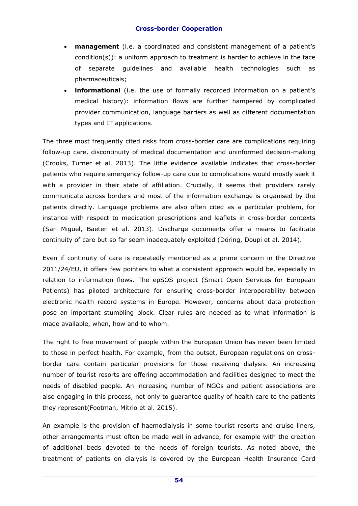- **management** (i.e. a coordinated and consistent management of a patient's condition(s)): a uniform approach to treatment is harder to achieve in the face of separate guidelines and available health technologies such as pharmaceuticals;
- **informational** (i.e. the use of formally recorded information on a patient's medical history): information flows are further hampered by complicated provider communication, language barriers as well as different documentation types and IT applications.

The three most frequently cited risks from cross-border care are complications requiring follow-up care, discontinuity of medical documentation and uninformed decision-making (Crooks, Turner et al. 2013). The little evidence available indicates that cross-border patients who require emergency follow-up care due to complications would mostly seek it with a provider in their state of affiliation. Crucially, it seems that providers rarely communicate across borders and most of the information exchange is organised by the patients directly. Language problems are also often cited as a particular problem, for instance with respect to medication prescriptions and leaflets in cross-border contexts (San Miguel, Baeten et al. 2013). Discharge documents offer a means to facilitate continuity of care but so far seem inadequately exploited (Döring, Doupi et al. 2014).

Even if continuity of care is repeatedly mentioned as a prime concern in the Directive 2011/24/EU, it offers few pointers to what a consistent approach would be, especially in relation to information flows. The epSOS project (Smart Open Services for European Patients) has piloted architecture for ensuring cross-border interoperability between electronic health record systems in Europe. However, concerns about data protection pose an important stumbling block. Clear rules are needed as to what information is made available, when, how and to whom.

The right to free movement of people within the European Union has never been limited to those in perfect health. For example, from the outset, European regulations on crossborder care contain particular provisions for those receiving dialysis. An increasing number of tourist resorts are offering accommodation and facilities designed to meet the needs of disabled people. An increasing number of NGOs and patient associations are also engaging in this process, not only to guarantee quality of health care to the patients they represent(Footman, Mitrio et al. 2015).

An example is the provision of haemodialysis in some tourist resorts and cruise liners, other arrangements must often be made well in advance, for example with the creation of additional beds devoted to the needs of foreign tourists. As noted above, the treatment of patients on dialysis is covered by the European Health Insurance Card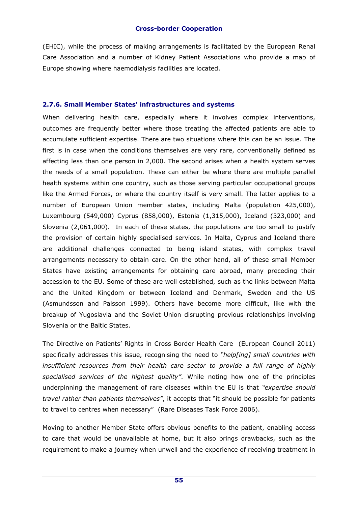(EHIC), while the process of making arrangements is facilitated by the European Renal Care Association and a number of Kidney Patient Associations who provide a map of Europe showing where haemodialysis facilities are located.

#### **2.7.6. Small Member States' infrastructures and systems**

When delivering health care, especially where it involves complex interventions, outcomes are frequently better where those treating the affected patients are able to accumulate sufficient expertise. There are two situations where this can be an issue. The first is in case when the conditions themselves are very rare, conventionally defined as affecting less than one person in 2,000. The second arises when a health system serves the needs of a small population. These can either be where there are multiple parallel health systems within one country, such as those serving particular occupational groups like the Armed Forces, or where the country itself is very small. The latter applies to a number of European Union member states, including Malta (population 425,000), Luxembourg (549,000) Cyprus (858,000), Estonia (1,315,000), Iceland (323,000) and Slovenia (2,061,000). In each of these states, the populations are too small to justify the provision of certain highly specialised services. In Malta, Cyprus and Iceland there are additional challenges connected to being island states, with complex travel arrangements necessary to obtain care. On the other hand, all of these small Member States have existing arrangements for obtaining care abroad, many preceding their accession to the EU. Some of these are well established, such as the links between Malta and the United Kingdom or between Iceland and Denmark, Sweden and the US (Asmundsson and Palsson 1999). Others have become more difficult, like with the breakup of Yugoslavia and the Soviet Union disrupting previous relationships involving Slovenia or the Baltic States.

The Directive on Patients' Rights in Cross Border Health Care (European Council 2011) specifically addresses this issue, recognising the need to *"help[ing] small countries with insufficient resources from their health care sector to provide a full range of highly specialised services of the highest quality"*. While noting how one of the principles underpinning the management of rare diseases within the EU is that *"expertise should travel rather than patients themselves"*, it accepts that "it should be possible for patients to travel to centres when necessary" (Rare Diseases Task Force 2006).

Moving to another Member State offers obvious benefits to the patient, enabling access to care that would be unavailable at home, but it also brings drawbacks, such as the requirement to make a journey when unwell and the experience of receiving treatment in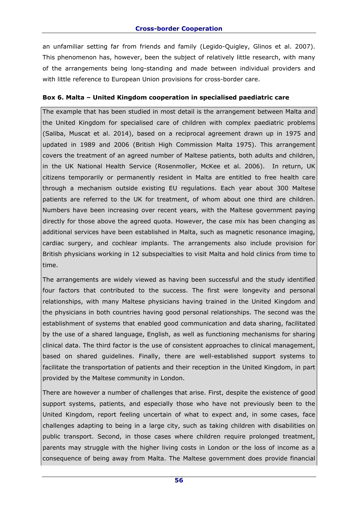an unfamiliar setting far from friends and family (Legido-Quigley, Glinos et al. 2007). This phenomenon has, however, been the subject of relatively little research, with many of the arrangements being long-standing and made between individual providers and with little reference to European Union provisions for cross-border care.

### **Box 6. Malta – United Kingdom cooperation in specialised paediatric care**

The example that has been studied in most detail is the arrangement between Malta and the United Kingdom for specialised care of children with complex paediatric problems (Saliba, Muscat et al. 2014), based on a reciprocal agreement drawn up in 1975 and updated in 1989 and 2006 (British High Commission Malta 1975). This arrangement covers the treatment of an agreed number of Maltese patients, both adults and children, in the UK National Health Service (Rosenmoller, McKee et al. 2006). In return, UK citizens temporarily or permanently resident in Malta are entitled to free health care through a mechanism outside existing EU regulations. Each year about 300 Maltese patients are referred to the UK for treatment, of whom about one third are children. Numbers have been increasing over recent years, with the Maltese government paying directly for those above the agreed quota. However, the case mix has been changing as additional services have been established in Malta, such as magnetic resonance imaging, cardiac surgery, and cochlear implants. The arrangements also include provision for British physicians working in 12 subspecialties to visit Malta and hold clinics from time to time.

The arrangements are widely viewed as having been successful and the study identified four factors that contributed to the success. The first were longevity and personal relationships, with many Maltese physicians having trained in the United Kingdom and the physicians in both countries having good personal relationships. The second was the establishment of systems that enabled good communication and data sharing, facilitated by the use of a shared language, English, as well as functioning mechanisms for sharing clinical data. The third factor is the use of consistent approaches to clinical management, based on shared guidelines. Finally, there are well-established support systems to facilitate the transportation of patients and their reception in the United Kingdom, in part provided by the Maltese community in London.

There are however a number of challenges that arise. First, despite the existence of good support systems, patients, and especially those who have not previously been to the United Kingdom, report feeling uncertain of what to expect and, in some cases, face challenges adapting to being in a large city, such as taking children with disabilities on public transport. Second, in those cases where children require prolonged treatment, parents may struggle with the higher living costs in London or the loss of income as a consequence of being away from Malta. The Maltese government does provide financial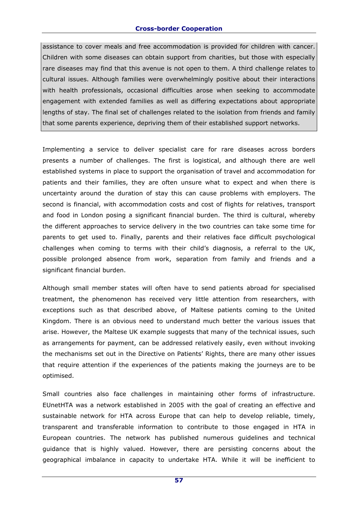#### **Cross-border Cooperation**

assistance to cover meals and free accommodation is provided for children with cancer. Children with some diseases can obtain support from charities, but those with especially rare diseases may find that this avenue is not open to them. A third challenge relates to cultural issues. Although families were overwhelmingly positive about their interactions with health professionals, occasional difficulties arose when seeking to accommodate engagement with extended families as well as differing expectations about appropriate lengths of stay. The final set of challenges related to the isolation from friends and family that some parents experience, depriving them of their established support networks.

Implementing a service to deliver specialist care for rare diseases across borders presents a number of challenges. The first is logistical, and although there are well established systems in place to support the organisation of travel and accommodation for patients and their families, they are often unsure what to expect and when there is uncertainty around the duration of stay this can cause problems with employers. The second is financial, with accommodation costs and cost of flights for relatives, transport and food in London posing a significant financial burden. The third is cultural, whereby the different approaches to service delivery in the two countries can take some time for parents to get used to. Finally, parents and their relatives face difficult psychological challenges when coming to terms with their child's diagnosis, a referral to the UK, possible prolonged absence from work, separation from family and friends and a significant financial burden.

Although small member states will often have to send patients abroad for specialised treatment, the phenomenon has received very little attention from researchers, with exceptions such as that described above, of Maltese patients coming to the United Kingdom. There is an obvious need to understand much better the various issues that arise. However, the Maltese UK example suggests that many of the technical issues, such as arrangements for payment, can be addressed relatively easily, even without invoking the mechanisms set out in the Directive on Patients' Rights, there are many other issues that require attention if the experiences of the patients making the journeys are to be optimised.

Small countries also face challenges in maintaining other forms of infrastructure. EUnetHTA was a network established in 2005 with the goal of creating an effective and sustainable network for HTA across Europe that can help to develop reliable, timely, transparent and transferable information to contribute to those engaged in HTA in European countries. The network has published numerous guidelines and technical guidance that is highly valued. However, there are persisting concerns about the geographical imbalance in capacity to undertake HTA. While it will be inefficient to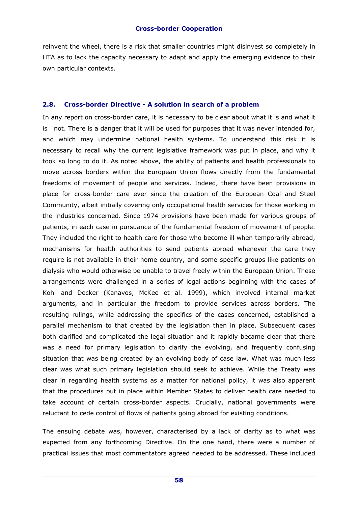reinvent the wheel, there is a risk that smaller countries might disinvest so completely in HTA as to lack the capacity necessary to adapt and apply the emerging evidence to their own particular contexts.

#### **2.8. Cross-border Directive - A solution in search of a problem**

In any report on cross-border care, it is necessary to be clear about what it is and what it is not. There is a danger that it will be used for purposes that it was never intended for, and which may undermine national health systems. To understand this risk it is necessary to recall why the current legislative framework was put in place, and why it took so long to do it. As noted above, the ability of patients and health professionals to move across borders within the European Union flows directly from the fundamental freedoms of movement of people and services. Indeed, there have been provisions in place for cross-border care ever since the creation of the European Coal and Steel Community, albeit initially covering only occupational health services for those working in the industries concerned. Since 1974 provisions have been made for various groups of patients, in each case in pursuance of the fundamental freedom of movement of people. They included the right to health care for those who become ill when temporarily abroad, mechanisms for health authorities to send patients abroad whenever the care they require is not available in their home country, and some specific groups like patients on dialysis who would otherwise be unable to travel freely within the European Union. These arrangements were challenged in a series of legal actions beginning with the cases of Kohl and Decker (Kanavos, McKee et al. 1999), which involved internal market arguments, and in particular the freedom to provide services across borders. The resulting rulings, while addressing the specifics of the cases concerned, established a parallel mechanism to that created by the legislation then in place. Subsequent cases both clarified and complicated the legal situation and it rapidly became clear that there was a need for primary legislation to clarify the evolving, and frequently confusing situation that was being created by an evolving body of case law. What was much less clear was what such primary legislation should seek to achieve. While the Treaty was clear in regarding health systems as a matter for national policy, it was also apparent that the procedures put in place within Member States to deliver health care needed to take account of certain cross-border aspects. Crucially, national governments were reluctant to cede control of flows of patients going abroad for existing conditions.

The ensuing debate was, however, characterised by a lack of clarity as to what was expected from any forthcoming Directive. On the one hand, there were a number of practical issues that most commentators agreed needed to be addressed. These included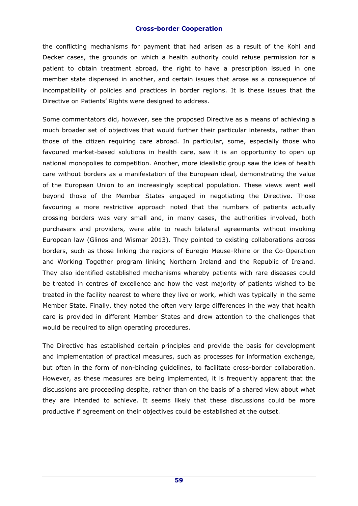the conflicting mechanisms for payment that had arisen as a result of the Kohl and Decker cases, the grounds on which a health authority could refuse permission for a patient to obtain treatment abroad, the right to have a prescription issued in one member state dispensed in another, and certain issues that arose as a consequence of incompatibility of policies and practices in border regions. It is these issues that the Directive on Patients' Rights were designed to address.

Some commentators did, however, see the proposed Directive as a means of achieving a much broader set of objectives that would further their particular interests, rather than those of the citizen requiring care abroad. In particular, some, especially those who favoured market-based solutions in health care, saw it is an opportunity to open up national monopolies to competition. Another, more idealistic group saw the idea of health care without borders as a manifestation of the European ideal, demonstrating the value of the European Union to an increasingly sceptical population. These views went well beyond those of the Member States engaged in negotiating the Directive. Those favouring a more restrictive approach noted that the numbers of patients actually crossing borders was very small and, in many cases, the authorities involved, both purchasers and providers, were able to reach bilateral agreements without invoking European law (Glinos and Wismar 2013). They pointed to existing collaborations across borders, such as those linking the regions of Euregio Meuse-Rhine or the Co-Operation and Working Together program linking Northern Ireland and the Republic of Ireland. They also identified established mechanisms whereby patients with rare diseases could be treated in centres of excellence and how the vast majority of patients wished to be treated in the facility nearest to where they live or work, which was typically in the same Member State. Finally, they noted the often very large differences in the way that health care is provided in different Member States and drew attention to the challenges that would be required to align operating procedures.

The Directive has established certain principles and provide the basis for development and implementation of practical measures, such as processes for information exchange, but often in the form of non-binding guidelines, to facilitate cross-border collaboration. However, as these measures are being implemented, it is frequently apparent that the discussions are proceeding despite, rather than on the basis of a shared view about what they are intended to achieve. It seems likely that these discussions could be more productive if agreement on their objectives could be established at the outset.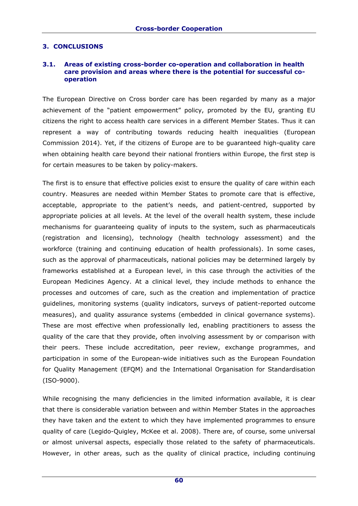# **3. CONCLUSIONS**

#### **3.1. Areas of existing cross-border co-operation and collaboration in health care provision and areas where there is the potential for successful cooperation**

The European Directive on Cross border care has been regarded by many as a major achievement of the "patient empowerment" policy, promoted by the EU, granting EU citizens the right to access health care services in a different Member States. Thus it can represent a way of contributing towards reducing health inequalities (European Commission 2014). Yet, if the citizens of Europe are to be guaranteed high-quality care when obtaining health care beyond their national frontiers within Europe, the first step is for certain measures to be taken by policy-makers.

The first is to ensure that effective policies exist to ensure the quality of care within each country. Measures are needed within Member States to promote care that is effective, acceptable, appropriate to the patient's needs, and patient-centred, supported by appropriate policies at all levels. At the level of the overall health system, these include mechanisms for guaranteeing quality of inputs to the system, such as pharmaceuticals (registration and licensing), technology (health technology assessment) and the workforce (training and continuing education of health professionals). In some cases, such as the approval of pharmaceuticals, national policies may be determined largely by frameworks established at a European level, in this case through the activities of the European Medicines Agency. At a clinical level, they include methods to enhance the processes and outcomes of care, such as the creation and implementation of practice guidelines, monitoring systems (quality indicators, surveys of patient-reported outcome measures), and quality assurance systems (embedded in clinical governance systems). These are most effective when professionally led, enabling practitioners to assess the quality of the care that they provide, often involving assessment by or comparison with their peers. These include accreditation, peer review, exchange programmes, and participation in some of the European-wide initiatives such as the European Foundation for Quality Management (EFQM) and the International Organisation for Standardisation (ISO-9000).

While recognising the many deficiencies in the limited information available, it is clear that there is considerable variation between and within Member States in the approaches they have taken and the extent to which they have implemented programmes to ensure quality of care (Legido-Quigley, McKee et al. 2008). There are, of course, some universal or almost universal aspects, especially those related to the safety of pharmaceuticals. However, in other areas, such as the quality of clinical practice, including continuing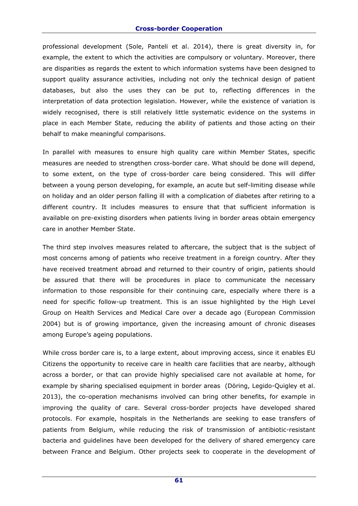#### **Cross-border Cooperation**

professional development (Sole, Panteli et al. 2014), there is great diversity in, for example, the extent to which the activities are compulsory or voluntary. Moreover, there are disparities as regards the extent to which information systems have been designed to support quality assurance activities, including not only the technical design of patient databases, but also the uses they can be put to, reflecting differences in the interpretation of data protection legislation. However, while the existence of variation is widely recognised, there is still relatively little systematic evidence on the systems in place in each Member State, reducing the ability of patients and those acting on their behalf to make meaningful comparisons.

In parallel with measures to ensure high quality care within Member States, specific measures are needed to strengthen cross-border care. What should be done will depend, to some extent, on the type of cross-border care being considered. This will differ between a young person developing, for example, an acute but self-limiting disease while on holiday and an older person falling ill with a complication of diabetes after retiring to a different country. It includes measures to ensure that that sufficient information is available on pre-existing disorders when patients living in border areas obtain emergency care in another Member State.

The third step involves measures related to aftercare, the subject that is the subject of most concerns among of patients who receive treatment in a foreign country. After they have received treatment abroad and returned to their country of origin, patients should be assured that there will be procedures in place to communicate the necessary information to those responsible for their continuing care, especially where there is a need for specific follow-up treatment. This is an issue highlighted by the High Level Group on Health Services and Medical Care over a decade ago (European Commission 2004) but is of growing importance, given the increasing amount of chronic diseases among Europe's ageing populations.

While cross border care is, to a large extent, about improving access, since it enables EU Citizens the opportunity to receive care in health care facilities that are nearby, although across a border, or that can provide highly specialised care not available at home, for example by sharing specialised equipment in border areas (Döring, Legido-Quigley et al. 2013), the co-operation mechanisms involved can bring other benefits, for example in improving the quality of care. Several cross-border projects have developed shared protocols. For example, hospitals in the Netherlands are seeking to ease transfers of patients from Belgium, while reducing the risk of transmission of antibiotic-resistant bacteria and guidelines have been developed for the delivery of shared emergency care between France and Belgium. Other projects seek to cooperate in the development of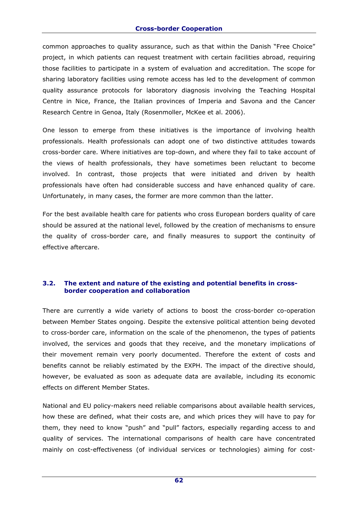common approaches to quality assurance, such as that within the Danish "Free Choice" project, in which patients can request treatment with certain facilities abroad, requiring those facilities to participate in a system of evaluation and accreditation. The scope for sharing laboratory facilities using remote access has led to the development of common quality assurance protocols for laboratory diagnosis involving the Teaching Hospital Centre in Nice, France, the Italian provinces of Imperia and Savona and the Cancer Research Centre in Genoa, Italy (Rosenmoller, McKee et al. 2006).

One lesson to emerge from these initiatives is the importance of involving health professionals. Health professionals can adopt one of two distinctive attitudes towards cross-border care. Where initiatives are top-down, and where they fail to take account of the views of health professionals, they have sometimes been reluctant to become involved. In contrast, those projects that were initiated and driven by health professionals have often had considerable success and have enhanced quality of care. Unfortunately, in many cases, the former are more common than the latter.

For the best available health care for patients who cross European borders quality of care should be assured at the national level, followed by the creation of mechanisms to ensure the quality of cross-border care, and finally measures to support the continuity of effective aftercare.

# **3.2. The extent and nature of the existing and potential benefits in crossborder cooperation and collaboration**

There are currently a wide variety of actions to boost the cross-border co-operation between Member States ongoing. Despite the extensive political attention being devoted to cross-border care, information on the scale of the phenomenon, the types of patients involved, the services and goods that they receive, and the monetary implications of their movement remain very poorly documented. Therefore the extent of costs and benefits cannot be reliably estimated by the EXPH. The impact of the directive should, however, be evaluated as soon as adequate data are available, including its economic effects on different Member States.

National and EU policy-makers need reliable comparisons about available health services, how these are defined, what their costs are, and which prices they will have to pay for them, they need to know "push" and "pull" factors, especially regarding access to and quality of services. The international comparisons of health care have concentrated mainly on cost-effectiveness (of individual services or technologies) aiming for cost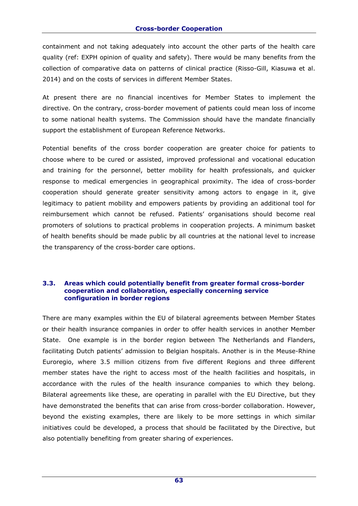containment and not taking adequately into account the other parts of the health care quality (ref: EXPH opinion of quality and safety). There would be many benefits from the collection of comparative data on patterns of clinical practice (Risso-Gill, Kiasuwa et al. 2014) and on the costs of services in different Member States.

At present there are no financial incentives for Member States to implement the directive. On the contrary, cross-border movement of patients could mean loss of income to some national health systems. The Commission should have the mandate financially support the establishment of European Reference Networks.

Potential benefits of the cross border cooperation are greater choice for patients to choose where to be cured or assisted, improved professional and vocational education and training for the personnel, better mobility for health professionals, and quicker response to medical emergencies in geographical proximity. The idea of cross-border cooperation should generate greater sensitivity among actors to engage in it, give legitimacy to patient mobility and empowers patients by providing an additional tool for reimbursement which cannot be refused. Patients' organisations should become real promoters of solutions to practical problems in cooperation projects. A minimum basket of health benefits should be made public by all countries at the national level to increase the transparency of the cross-border care options.

#### **3.3. Areas which could potentially benefit from greater formal cross-border cooperation and collaboration, especially concerning service configuration in border regions**

There are many examples within the EU of bilateral agreements between Member States or their health insurance companies in order to offer health services in another Member State. One example is in the border region between The Netherlands and Flanders, facilitating Dutch patients' admission to Belgian hospitals. Another is in the Meuse-Rhine Euroregio, where 3.5 million citizens from five different Regions and three different member states have the right to access most of the health facilities and hospitals, in accordance with the rules of the health insurance companies to which they belong. Bilateral agreements like these, are operating in parallel with the EU Directive, but they have demonstrated the benefits that can arise from cross-border collaboration. However, beyond the existing examples, there are likely to be more settings in which similar initiatives could be developed, a process that should be facilitated by the Directive, but also potentially benefiting from greater sharing of experiences.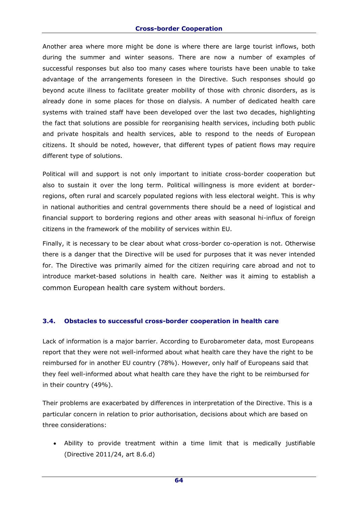#### **Cross-border Cooperation**

Another area where more might be done is where there are large tourist inflows, both during the summer and winter seasons. There are now a number of examples of successful responses but also too many cases where tourists have been unable to take advantage of the arrangements foreseen in the Directive. Such responses should go beyond acute illness to facilitate greater mobility of those with chronic disorders, as is already done in some places for those on dialysis. A number of dedicated health care systems with trained staff have been developed over the last two decades, highlighting the fact that solutions are possible for reorganising health services, including both public and private hospitals and health services, able to respond to the needs of European citizens. It should be noted, however, that different types of patient flows may require different type of solutions.

Political will and support is not only important to initiate cross-border cooperation but also to sustain it over the long term. Political willingness is more evident at borderregions, often rural and scarcely populated regions with less electoral weight. This is why in national authorities and central governments there should be a need of logistical and financial support to bordering regions and other areas with seasonal hi-influx of foreign citizens in the framework of the mobility of services within EU.

Finally, it is necessary to be clear about what cross-border co-operation is not. Otherwise there is a danger that the Directive will be used for purposes that it was never intended for. The Directive was primarily aimed for the citizen requiring care abroad and not to introduce market-based solutions in health care. Neither was it aiming to establish a common European health care system without borders.

### **3.4. Obstacles to successful cross-border cooperation in health care**

Lack of information is a major barrier. According to Eurobarometer data, most Europeans report that they were not well-informed about what health care they have the right to be reimbursed for in another EU country (78%). However, only half of Europeans said that they feel well-informed about what health care they have the right to be reimbursed for in their country (49%).

Their problems are exacerbated by differences in interpretation of the Directive. This is a particular concern in relation to prior authorisation, decisions about which are based on three considerations:

 Ability to provide treatment within a time limit that is medically justifiable (Directive 2011/24, art 8.6.d)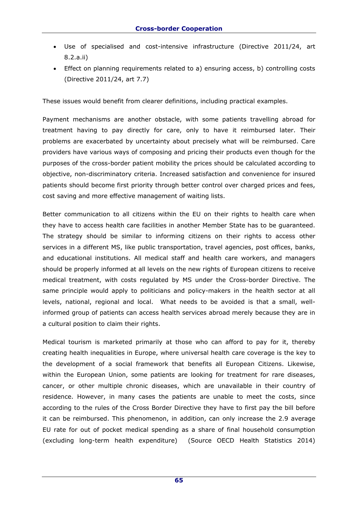- Use of specialised and cost-intensive infrastructure (Directive 2011/24, art 8.2.a.ii)
- Effect on planning requirements related to a) ensuring access, b) controlling costs (Directive 2011/24, art 7.7)

These issues would benefit from clearer definitions, including practical examples.

Payment mechanisms are another obstacle, with some patients travelling abroad for treatment having to pay directly for care, only to have it reimbursed later. Their problems are exacerbated by uncertainty about precisely what will be reimbursed. Care providers have various ways of composing and pricing their products even though for the purposes of the cross-border patient mobility the prices should be calculated according to objective, non-discriminatory criteria. Increased satisfaction and convenience for insured patients should become first priority through better control over charged prices and fees, cost saving and more effective management of waiting lists.

Better communication to all citizens within the EU on their rights to health care when they have to access health care facilities in another Member State has to be guaranteed. The strategy should be similar to informing citizens on their rights to access other services in a different MS, like public transportation, travel agencies, post offices, banks, and educational institutions. All medical staff and health care workers, and managers should be properly informed at all levels on the new rights of European citizens to receive medical treatment, with costs regulated by MS under the Cross-border Directive. The same principle would apply to politicians and policy-makers in the health sector at all levels, national, regional and local. What needs to be avoided is that a small, wellinformed group of patients can access health services abroad merely because they are in a cultural position to claim their rights.

Medical tourism is marketed primarily at those who can afford to pay for it, thereby creating health inequalities in Europe, where universal health care coverage is the key to the development of a social framework that benefits all European Citizens. Likewise, within the European Union, some patients are looking for treatment for rare diseases, cancer, or other multiple chronic diseases, which are unavailable in their country of residence. However, in many cases the patients are unable to meet the costs, since according to the rules of the Cross Border Directive they have to first pay the bill before it can be reimbursed. This phenomenon, in addition, can only increase the 2.9 average EU rate for out of pocket medical spending as a share of final household consumption (excluding long-term health expenditure) (Source OECD Health Statistics 2014)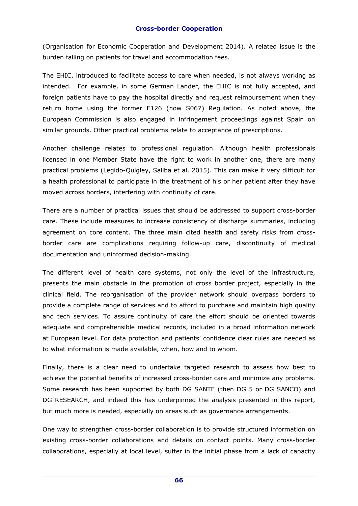(Organisation for Economic Cooperation and Development 2014). A related issue is the burden falling on patients for travel and accommodation fees.

The EHIC, introduced to facilitate access to care when needed, is not always working as intended. For example, in some German Lander, the EHIC is not fully accepted, and foreign patients have to pay the hospital directly and request reimbursement when they return home using the former E126 (now S067) Regulation. As noted above, the European Commission is also engaged in infringement proceedings against Spain on similar grounds. Other practical problems relate to acceptance of prescriptions.

Another challenge relates to professional regulation. Although health professionals licensed in one Member State have the right to work in another one, there are many practical problems (Legido-Quigley, Saliba et al. 2015). This can make it very difficult for a health professional to participate in the treatment of his or her patient after they have moved across borders, interfering with continuity of care.

There are a number of practical issues that should be addressed to support cross-border care. These include measures to increase consistency of discharge summaries, including agreement on core content. The three main cited health and safety risks from crossborder care are complications requiring follow-up care, discontinuity of medical documentation and uninformed decision-making.

The different level of health care systems, not only the level of the infrastructure, presents the main obstacle in the promotion of cross border project, especially in the clinical field. The reorganisation of the provider network should overpass borders to provide a complete range of services and to afford to purchase and maintain high quality and tech services. To assure continuity of care the effort should be oriented towards adequate and comprehensible medical records, included in a broad information network at European level. For data protection and patients' confidence clear rules are needed as to what information is made available, when, how and to whom.

Finally, there is a clear need to undertake targeted research to assess how best to achieve the potential benefits of increased cross-border care and minimize any problems. Some research has been supported by both DG SANTE (then DG 5 or DG SANCO) and DG RESEARCH, and indeed this has underpinned the analysis presented in this report, but much more is needed, especially on areas such as governance arrangements.

One way to strengthen cross-border collaboration is to provide structured information on existing cross-border collaborations and details on contact points. Many cross-border collaborations, especially at local level, suffer in the initial phase from a lack of capacity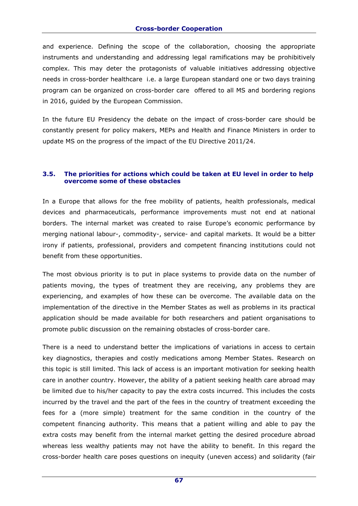and experience. Defining the scope of the collaboration, choosing the appropriate instruments and understanding and addressing legal ramifications may be prohibitively complex. This may deter the protagonists of valuable initiatives addressing objective needs in cross-border healthcare i.e. a large European standard one or two days training program can be organized on cross-border care offered to all MS and bordering regions in 2016, guided by the European Commission.

In the future EU Presidency the debate on the impact of cross-border care should be constantly present for policy makers, MEPs and Health and Finance Ministers in order to update MS on the progress of the impact of the EU Directive 2011/24.

# **3.5. The priorities for actions which could be taken at EU level in order to help overcome some of these obstacles**

In a Europe that allows for the free mobility of patients, health professionals, medical devices and pharmaceuticals, performance improvements must not end at national borders. The internal market was created to raise Europe's economic performance by merging national labour-, commodity-, service- and capital markets. It would be a bitter irony if patients, professional, providers and competent financing institutions could not benefit from these opportunities.

The most obvious priority is to put in place systems to provide data on the number of patients moving, the types of treatment they are receiving, any problems they are experiencing, and examples of how these can be overcome. The *a*vailable data on the implementation of the directive in the Member States as well as problems in its practical application should be made available for both researchers and patient organisations to promote public discussion on the remaining obstacles of cross-border care.

There is a need to understand better the implications of variations in access to certain key diagnostics, therapies and costly medications among Member States. Research on this topic is still limited. This lack of access is an important motivation for seeking health care in another country. However, the ability of a patient seeking health care abroad may be limited due to his/her capacity to pay the extra costs incurred. This includes the costs incurred by the travel and the part of the fees in the country of treatment exceeding the fees for a (more simple) treatment for the same condition in the country of the competent financing authority. This means that a patient willing and able to pay the extra costs may benefit from the internal market getting the desired procedure abroad whereas less wealthy patients may not have the ability to benefit. In this regard the cross-border health care poses questions on inequity (uneven access) and solidarity (fair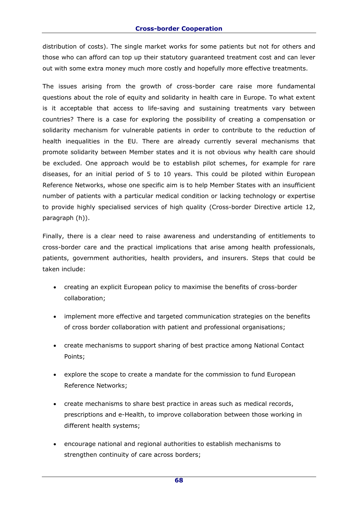distribution of costs). The single market works for some patients but not for others and those who can afford can top up their statutory guaranteed treatment cost and can lever out with some extra money much more costly and hopefully more effective treatments.

The issues arising from the growth of cross-border care raise more fundamental questions about the role of equity and solidarity in health care in Europe. To what extent is it acceptable that access to life-saving and sustaining treatments vary between countries? There is a case for exploring the possibility of creating a compensation or solidarity mechanism for vulnerable patients in order to contribute to the reduction of health inequalities in the EU. There are already currently several mechanisms that promote solidarity between Member states and it is not obvious why health care should be excluded. One approach would be to establish pilot schemes, for example for rare diseases, for an initial period of 5 to 10 years. This could be piloted within European Reference Networks, whose one specific aim is to help Member States with an insufficient number of patients with a particular medical condition or lacking technology or expertise to provide highly specialised services of high quality (Cross-border Directive article 12, paragraph (h)).

Finally, there is a clear need to raise awareness and understanding of entitlements to cross-border care and the practical implications that arise among health professionals, patients, government authorities, health providers, and insurers. Steps that could be taken include:

- creating an explicit European policy to maximise the benefits of cross-border collaboration;
- implement more effective and targeted communication strategies on the benefits of cross border collaboration with patient and professional organisations;
- create mechanisms to support sharing of best practice among National Contact Points;
- explore the scope to create a mandate for the commission to fund European Reference Networks;
- create mechanisms to share best practice in areas such as medical records, prescriptions and e-Health, to improve collaboration between those working in different health systems;
- encourage national and regional authorities to establish mechanisms to strengthen continuity of care across borders;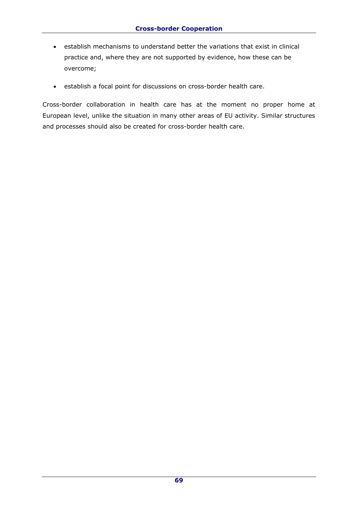- establish mechanisms to understand better the variations that exist in clinical practice and, where they are not supported by evidence, how these can be overcome;
- establish a focal point for discussions on cross-border health care.

Cross-border collaboration in health care has at the moment no proper home at European level, unlike the situation in many other areas of EU activity. Similar structures and processes should also be created for cross-border health care.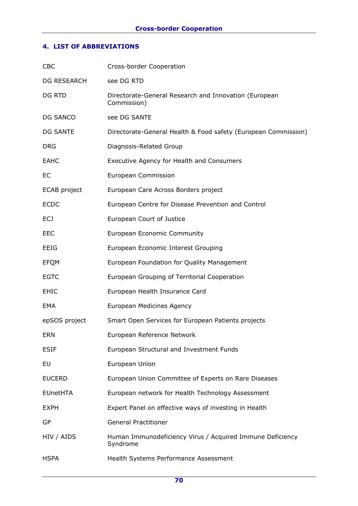# **4. LIST OF ABBREVIATIONS**

| <b>CBC</b>         | Cross-border Cooperation                                              |
|--------------------|-----------------------------------------------------------------------|
| <b>DG RESEARCH</b> | see DG RTD                                                            |
| DG RTD             | Directorate-General Research and Innovation (European<br>Commission)  |
| DG SANCO           | see DG SANTE                                                          |
| <b>DG SANTE</b>    | Directorate-General Health & Food safety (European Commission)        |
| <b>DRG</b>         | Diagnosis-Related Group                                               |
| <b>EAHC</b>        | Executive Agency for Health and Consumers                             |
| EC.                | European Commission                                                   |
| ECAB project       | European Care Across Borders project                                  |
| <b>ECDC</b>        | European Centre for Disease Prevention and Control                    |
| ECJ                | European Court of Justice                                             |
| <b>EEC</b>         | <b>European Economic Community</b>                                    |
| EEIG               | European Economic Interest Grouping                                   |
| <b>EFQM</b>        | European Foundation for Quality Management                            |
| <b>EGTC</b>        | European Grouping of Territorial Cooperation                          |
| <b>EHIC</b>        | European Health Insurance Card                                        |
| EMA                | European Medicines Agency                                             |
| epSOS project      | Smart Open Services for European Patients projects                    |
| <b>ERN</b>         | European Reference Network                                            |
| <b>ESIF</b>        | European Structural and Investment Funds                              |
| EU                 | European Union                                                        |
| <b>EUCERD</b>      | European Union Committee of Experts on Rare Diseases                  |
| <b>EUnetHTA</b>    | European network for Health Technology Assessment                     |
| <b>EXPH</b>        | Expert Panel on effective ways of investing in Health                 |
| GP                 | <b>General Practitioner</b>                                           |
| HIV / AIDS         | Human Immunodeficiency Virus / Acquired Immune Deficiency<br>Syndrome |
| <b>HSPA</b>        | Health Systems Performance Assessment                                 |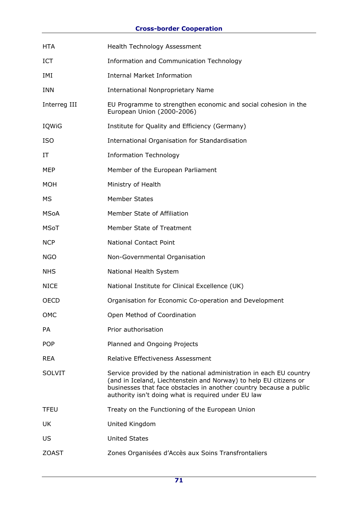# **Cross-border Cooperation**

| <b>HTA</b>    | Health Technology Assessment                                                                                                                                                                                                                                         |
|---------------|----------------------------------------------------------------------------------------------------------------------------------------------------------------------------------------------------------------------------------------------------------------------|
| ICT           | Information and Communication Technology                                                                                                                                                                                                                             |
| IMI           | <b>Internal Market Information</b>                                                                                                                                                                                                                                   |
| <b>INN</b>    | <b>International Nonproprietary Name</b>                                                                                                                                                                                                                             |
| Interreg III  | EU Programme to strengthen economic and social cohesion in the<br>European Union (2000-2006)                                                                                                                                                                         |
| IQWiG         | Institute for Quality and Efficiency (Germany)                                                                                                                                                                                                                       |
| <b>ISO</b>    | International Organisation for Standardisation                                                                                                                                                                                                                       |
| IΤ            | <b>Information Technology</b>                                                                                                                                                                                                                                        |
| <b>MEP</b>    | Member of the European Parliament                                                                                                                                                                                                                                    |
| MOH           | Ministry of Health                                                                                                                                                                                                                                                   |
| МS            | <b>Member States</b>                                                                                                                                                                                                                                                 |
| MSoA          | Member State of Affiliation                                                                                                                                                                                                                                          |
| <b>MSoT</b>   | Member State of Treatment                                                                                                                                                                                                                                            |
| <b>NCP</b>    | <b>National Contact Point</b>                                                                                                                                                                                                                                        |
| <b>NGO</b>    | Non-Governmental Organisation                                                                                                                                                                                                                                        |
| <b>NHS</b>    | National Health System                                                                                                                                                                                                                                               |
| <b>NICE</b>   | National Institute for Clinical Excellence (UK)                                                                                                                                                                                                                      |
| <b>OECD</b>   | Organisation for Economic Co-operation and Development                                                                                                                                                                                                               |
| OMC           | Open Method of Coordination                                                                                                                                                                                                                                          |
| PA            | Prior authorisation                                                                                                                                                                                                                                                  |
| <b>POP</b>    | Planned and Ongoing Projects                                                                                                                                                                                                                                         |
| <b>REA</b>    | <b>Relative Effectiveness Assessment</b>                                                                                                                                                                                                                             |
| <b>SOLVIT</b> | Service provided by the national administration in each EU country<br>(and in Iceland, Liechtenstein and Norway) to help EU citizens or<br>businesses that face obstacles in another country because a public<br>authority isn't doing what is required under EU law |
| <b>TFEU</b>   | Treaty on the Functioning of the European Union                                                                                                                                                                                                                      |
| UK            | United Kingdom                                                                                                                                                                                                                                                       |
| US            | <b>United States</b>                                                                                                                                                                                                                                                 |
| <b>ZOAST</b>  | Zones Organisées d'Accès aux Soins Transfrontaliers                                                                                                                                                                                                                  |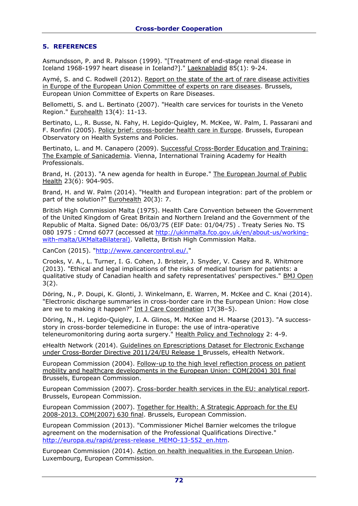### **5. REFERENCES**

Asmundsson, P. and R. Palsson (1999). "[Treatment of end-stage renal disease in Iceland 1968-1997 heart disease in Iceland?]." Laeknabladid 85(1): 9-24.

Aymé, S. and C. Rodwell (2012). Report on the state of the art of rare disease activities in Europe of the European Union Committee of experts on rare diseases. Brussels, European Union Committee of Experts on Rare Diseases.

Bellometti, S. and L. Bertinato (2007). "Health care services for tourists in the Veneto Region." Eurohealth 13(4): 11-13.

Bertinato, L., R. Busse, N. Fahy, H. Legido-Quigley, M. McKee, W. Palm, I. Passarani and F. Ronfini (2005). Policy brief: cross-border health care in Europe. Brussels, European Observatory on Health Systems and Policies.

Bertinato, L. and M. Canapero (2009). Successful Cross-Border Education and Training: The Example of Sanicademia. Vienna, International Training Academy for Health Professionals.

Brand, H. (2013). "A new agenda for health in Europe." The European Journal of Public Health 23(6): 904-905.

Brand, H. and W. Palm (2014). "Health and European integration: part of the problem or part of the solution?" Eurohealth 20(3): 7.

British High Commission Malta (1975). Health Care Convention between the Government of the United Kingdom of Great Britain and Northern Ireland and the Government of the Republic of Malta. Signed Date: 06/03/75 (EIF Date: 01/04/75) . Treaty Series No. TS 080 1975 : Cmnd 6077 (accessed at [http://ukinmalta.fco.gov.uk/en/about-us/working](http://ukinmalta.fco.gov.uk/en/about-us/working-with-malta/UKMaltaBilateral))[with-malta/UKMaltaBilateral\).](http://ukinmalta.fco.gov.uk/en/about-us/working-with-malta/UKMaltaBilateral)) Valletta, British High Commission Malta.

CanCon (2015). ["http://www.cancercontrol.eu/."](http://www.cancercontrol.eu/)

Crooks, V. A., L. Turner, I. G. Cohen, J. Bristeir, J. Snyder, V. Casey and R. Whitmore (2013). "Ethical and legal implications of the risks of medical tourism for patients: a qualitative study of Canadian health and safety representatives' perspectives." BMJ Open 3(2).

Döring, N., P. Doupi, K. Glonti, J. Winkelmann, E. Warren, M. McKee and C. Knai (2014). "Electronic discharge summaries in cross-border care in the European Union: How close are we to making it happen?" Int J Care Coordination 17(38-5).

Döring, N., H. Legido-Quigley, I. A. Glinos, M. McKee and H. Maarse (2013). "A successstory in cross-border telemedicine in Europe: the use of intra-operative teleneuromonitoring during aorta surgery." Health Policy and Technology 2: 4-9.

eHealth Network (2014). Guidelines on Eprescriptions Dataset for Electronic Exchange under Cross-Border Directive 2011/24/EU Release 1 Brussels, eHealth Network.

European Commission (2004). Follow-up to the high level reflection process on patient mobility and healthcare developments in the European Union: COM(2004) 301 final Brussels, European Commission.

European Commission (2007). Cross-border health services in the EU: analytical report. Brussels, European Commission.

European Commission (2007). Together for Health: A Strategic Approach for the EU 2008-2013. COM(2007) 630 final. Brussels, European Commission.

European Commission (2013). "Commissioner Michel Barnier welcomes the trilogue agreement on the modernisation of the Professional Qualifications Directive." [http://europa.eu/rapid/press-release\\_MEMO-13-552\\_en.htm.](http://europa.eu/rapid/press-release_MEMO-13-552_en.htm)

European Commission (2014). Action on health inequalities in the European Union. Luxembourg, European Commission.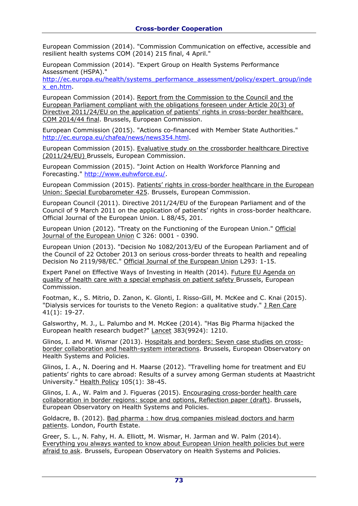European Commission (2014). "Commission Communication on effective, accessible and resilient health systems COM (2014) 215 final, 4 April."

European Commission (2014). "Expert Group on Health Systems Performance Assessment (HSPA)."

[http://ec.europa.eu/health/systems\\_performance\\_assessment/policy/expert\\_group/inde](http://ec.europa.eu/health/systems_performance_assessment/policy/expert_group/index_en.htm) [x\\_en.htm.](http://ec.europa.eu/health/systems_performance_assessment/policy/expert_group/index_en.htm)

European Commission (2014). Report from the Commission to the Council and the European Parliament compliant with the obligations foreseen under Article 20(3) of Directive 2011/24/EU on the application of patients' rights in cross-border healthcare. COM 2014/44 final. Brussels, European Commission.

European Commission (2015). "Actions co-financed with Member State Authorities." [http://ec.europa.eu/chafea/news/news354.html.](http://ec.europa.eu/chafea/news/news354.html)

European Commission (2015). Evaluative study on the crossborder healthcare Directive (2011/24/EU) Brussels, European Commission.

European Commission (2015). "Joint Action on Health Workforce Planning and Forecasting." [http://www.euhwforce.eu/.](http://www.euhwforce.eu/)

European Commission (2015). Patients' rights in cross-border healthcare in the European Union: Special Eurobarometer 425. Brussels, European Commission.

European Council (2011). Directive 2011/24/EU of the European Parliament and of the Council of 9 March 2011 on the application of patients' rights in cross-border healthcare. Official Journal of the European Union. L 88/45, 201.

European Union (2012). "Treaty on the Functioning of the European Union." Official Journal of the European Union C 326: 0001 - 0390.

European Union (2013). "Decision No 1082/2013/EU of the European Parliament and of the Council of 22 October 2013 on serious cross-border threats to health and repealing Decision No 2119/98/EC." Official Journal of the European Union L293: 1-15.

Expert Panel on Effective Ways of Investing in Health (2014). Future EU Agenda on quality of health care with a special emphasis on patient safety Brussels, European Commission.

Footman, K., S. Mitrio, D. Zanon, K. Glonti, I. Risso-Gill, M. McKee and C. Knai (2015). "Dialysis services for tourists to the Veneto Region: a qualitative study." J Ren Care 41(1): 19-27.

Galsworthy, M. J., L. Palumbo and M. McKee (2014). "Has Big Pharma hijacked the European health research budget?" Lancet 383(9924): 1210.

Glinos, I. and M. Wismar (2013). Hospitals and borders: Seven case studies on crossborder collaboration and health-system interactions. Brussels, European Observatory on Health Systems and Policies.

Glinos, I. A., N. Doering and H. Maarse (2012). "Travelling home for treatment and EU patients' rights to care abroad: Results of a survey among German students at Maastricht University." Health Policy 105(1): 38-45.

Glinos, I. A., W. Palm and J. Figueras (2015). Encouraging cross-border health care collaboration in border regions: scope and options, Reflection paper (draft). Brussels, European Observatory on Health Systems and Policies.

Goldacre, B. (2012). Bad pharma : how drug companies mislead doctors and harm patients. London, Fourth Estate.

Greer, S. L., N. Fahy, H. A. Elliott, M. Wismar, H. Jarman and W. Palm (2014). Everything you always wanted to know about European Union health policies but were afraid to ask. Brussels, European Observatory on Health Systems and Policies.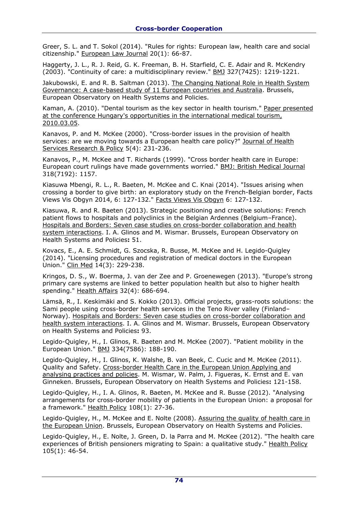Greer, S. L. and T. Sokol (2014). "Rules for rights: European law, health care and social citizenship." European Law Journal 20(1): 66-87.

Haggerty, J. L., R. J. Reid, G. K. Freeman, B. H. Starfield, C. E. Adair and R. McKendry (2003). "Continuity of care: a multidisciplinary review." BMJ 327(7425): 1219-1221.

Jakubowski, E. and R. B. Saltman (2013). The Changing National Role in Health System Governance: A case-based study of 11 European countries and Australia. Brussels, European Observatory on Health Systems and Policies.

Kaman, A. (2010). "Dental tourism as the key sector in health tourism." Paper presented at the conference Hungary's opportunities in the international medical tourism, 2010.03.05.

Kanavos, P. and M. McKee (2000). "Cross-border issues in the provision of health services: are we moving towards a European health care policy?" Journal of Health Services Research & Policy 5(4): 231-236.

Kanavos, P., M. McKee and T. Richards (1999). "Cross border health care in Europe: European court rulings have made governments worried." BMJ: British Medical Journal 318(7192): 1157.

Kiasuwa Mbengi, R. L., R. Baeten, M. McKee and C. Knai (2014). "Issues arising when crossing a border to give birth: an exploratory study on the French-Belgian border, Facts Views Vis Obgyn 2014, 6: 127-132." Facts Views Vis Obgyn 6: 127-132.

Kiasuwa, R. and R. Baeten (2013). Strategic positioning and creative solutions: French patient flows to hospitals and polyclinics in the Belgian Ardennes (Belgium–France). Hospitals and Borders: Seven case studies on cross-border collaboration and health system interactions. I. A. Glinos and M. Wismar. Brussels, European Observatory on Health Systems and Policies**:** 51.

Kovacs, E., A. E. Schmidt, G. Szocska, R. Busse, M. McKee and H. Legido-Quigley (2014). "Licensing procedures and registration of medical doctors in the European Union." Clin Med 14(3): 229-238.

Kringos, D. S., W. Boerma, J. van der Zee and P. Groenewegen (2013). "Europe's strong primary care systems are linked to better population health but also to higher health spending." Health Affairs 32(4): 686-694.

Lämsä, R., I. Keskimäki and S. Kokko (2013). Official projects, grass-roots solutions: the Sami people using cross-border health services in the Teno River valley (Finland– Norway). Hospitals and Borders: Seven case studies on cross-border collaboration and health system interactions. I. A. Glinos and M. Wismar. Brussels, European Observatory on Health Systems and Policies**:** 93.

Legido-Quigley, H., I. Glinos, R. Baeten and M. McKee (2007). "Patient mobility in the European Union." BMJ 334(7586): 188-190.

Legido-Quigley, H., I. Glinos, K. Walshe, B. van Beek, C. Cucic and M. McKee (2011). Quality and Safety. Cross-border Health Care in the European Union Applying and analysing practices and policies. M. Wismar, W. Palm, J. Figueras, K. Ernst and E. van Ginneken. Brussels, European Observatory on Health Systems and Policies**:** 121-158.

Legido-Quigley, H., I. A. Glinos, R. Baeten, M. McKee and R. Busse (2012). "Analysing arrangements for cross-border mobility of patients in the European Union: a proposal for a framework." Health Policy 108(1): 27-36.

Legido-Quigley, H., M. McKee and E. Nolte (2008). Assuring the quality of health care in the European Union. Brussels, European Observatory on Health Systems and Policies.

Legido-Quigley, H., E. Nolte, J. Green, D. la Parra and M. McKee (2012). "The health care experiences of British pensioners migrating to Spain: a qualitative study." Health Policy 105(1): 46-54.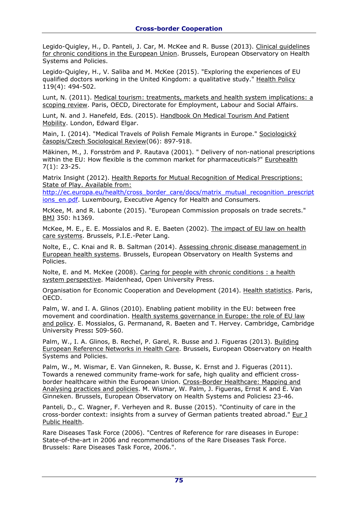Legido-Quigley, H., D. Panteli, J. Car, M. McKee and R. Busse (2013). Clinical guidelines for chronic conditions in the European Union. Brussels, European Observatory on Health Systems and Policies.

Legido-Quigley, H., V. Saliba and M. McKee (2015). "Exploring the experiences of EU qualified doctors working in the United Kingdom: a qualitative study." Health Policy 119(4): 494-502.

Lunt, N. (2011). Medical tourism: treatments, markets and health system implications: a scoping review. Paris, OECD, Directorate for Employment, Labour and Social Affairs.

Lunt, N. and J. Hanefeld, Eds. (2015). Handbook On Medical Tourism And Patient Mobility. London, Edward Elgar.

Main, I. (2014). "Medical Travels of Polish Female Migrants in Europe." Sociologický časopis/Czech Sociological Review(06): 897-918.

Mäkinen, M., J. Forsström and P. Rautava (2001). " Delivery of non-national prescriptions within the EU: How flexible is the common market for pharmaceuticals?" Eurohealth 7(1): 23-25.

Matrix Insight (2012). Health Reports for Mutual Recognition of Medical Prescriptions: State of Play. Available from:

[http://ec.europa.eu/health/cross\\_border\\_care/docs/matrix\\_mutual\\_recognition\\_prescript](http://ec.europa.eu/health/cross_border_care/docs/matrix_mutual_recognition_prescriptions_en.pdf) [ions\\_en.pdf.](http://ec.europa.eu/health/cross_border_care/docs/matrix_mutual_recognition_prescriptions_en.pdf) Luxembourg, Executive Agency for Health and Consumers.

McKee, M. and R. Labonte (2015). "European Commission proposals on trade secrets." BMJ 350: h1369.

McKee, M. E., E. E. Mossialos and R. E. Baeten (2002). The impact of EU law on health care systems. Brussels, P.I.E.-Peter Lang.

Nolte, E., C. Knai and R. B. Saltman (2014). Assessing chronic disease management in European health systems. Brussels, European Observatory on Health Systems and Policies.

Nolte, E. and M. McKee (2008). Caring for people with chronic conditions : a health system perspective. Maidenhead, Open University Press.

Organisation for Economic Cooperation and Development (2014). Health statistics. Paris, OECD.

Palm, W. and I. A. Glinos (2010). Enabling patient mobility in the EU: between free movement and coordination. Health systems governance in Europe: the role of EU law and policy. E. Mossialos, G. Permanand, R. Baeten and T. Hervey. Cambridge, Cambridge University Press**:** 509-560.

Palm, W., I. A. Glinos, B. Rechel, P. Garel, R. Busse and J. Figueras (2013). Building European Reference Networks in Health Care. Brussels, European Observatory on Health Systems and Policies.

Palm, W., M. Wismar, E. Van Ginneken, R. Busse, K. Ernst and J. Figueras (2011). Towards a renewed community frame-work for safe, high quality and efficient crossborder healthcare within the European Union. Cross-Border Healthcare: Mapping and Analysing practices and policies. M. Wismar, W. Palm, J. Figueras, Ernst K and E. Van Ginneken. Brussels, European Observatory on Health Systems and Policies**:** 23-46.

Panteli, D., C. Wagner, F. Verheyen and R. Busse (2015). "Continuity of care in the cross-border context: insights from a survey of German patients treated abroad." Eur J Public Health.

Rare Diseases Task Force (2006). "Centres of Reference for rare diseases in Europe: State-of-the-art in 2006 and recommendations of the Rare Diseases Task Force. Brussels: Rare Diseases Task Force, 2006.".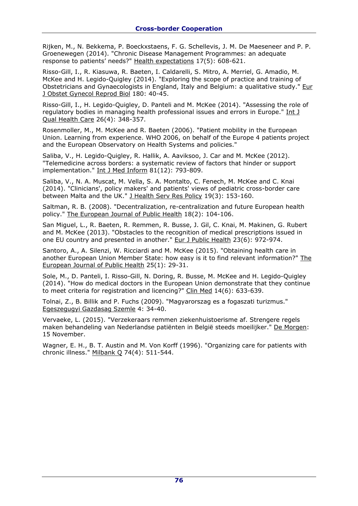Rijken, M., N. Bekkema, P. Boeckxstaens, F. G. Schellevis, J. M. De Maeseneer and P. P. Groenewegen (2014). "Chronic Disease Management Programmes: an adequate response to patients' needs?" Health expectations 17(5): 608-621.

Risso-Gill, I., R. Kiasuwa, R. Baeten, I. Caldarelli, S. Mitro, A. Merriel, G. Amadio, M. McKee and H. Legido-Quigley (2014). "Exploring the scope of practice and training of Obstetricians and Gynaecologists in England, Italy and Belgium: a qualitative study." Eur J Obstet Gynecol Reprod Biol 180: 40-45.

Risso-Gill, I., H. Legido-Quigley, D. Panteli and M. McKee (2014). "Assessing the role of regulatory bodies in managing health professional issues and errors in Europe." Int J Qual Health Care 26(4): 348-357.

Rosenmoller, M., M. McKee and R. Baeten (2006). "Patient mobility in the European Union. Learning from experience. WHO 2006, on behalf of the Europe 4 patients project and the European Observatory on Health Systems and policies."

Saliba, V., H. Legido-Quigley, R. Hallik, A. Aaviksoo, J. Car and M. McKee (2012). "Telemedicine across borders: a systematic review of factors that hinder or support implementation." Int J Med Inform 81(12): 793-809.

Saliba, V., N. A. Muscat, M. Vella, S. A. Montalto, C. Fenech, M. McKee and C. Knai (2014). "Clinicians', policy makers' and patients' views of pediatric cross-border care between Malta and the UK." J Health Serv Res Policy 19(3): 153-160.

Saltman, R. B. (2008). "Decentralization, re-centralization and future European health policy." The European Journal of Public Health 18(2): 104-106.

San Miguel, L., R. Baeten, R. Remmen, R. Busse, J. Gil, C. Knai, M. Makinen, G. Rubert and M. McKee (2013). "Obstacles to the recognition of medical prescriptions issued in one EU country and presented in another." Eur J Public Health 23(6): 972-974.

Santoro, A., A. Silenzi, W. Ricciardi and M. McKee (2015). "Obtaining health care in another European Union Member State: how easy is it to find relevant information?" The European Journal of Public Health 25(1): 29-31.

Sole, M., D. Panteli, I. Risso-Gill, N. Doring, R. Busse, M. McKee and H. Legido-Quigley (2014). "How do medical doctors in the European Union demonstrate that they continue to meet criteria for registration and licencing?" Clin Med 14(6): 633-639.

Tolnai, Z., B. Billik and P. Fuchs (2009). "Magyarorszag es a fogaszati turizmus." Egeszegugyi Gazdasag Szemle 4: 34-40.

Vervaeke, L. (2015). "Verzekeraars remmen ziekenhuistoerisme af. Strengere regels maken behandeling van Nederlandse patiënten in België steeds moeilijker." De Morgen: 15 November.

Wagner, E. H., B. T. Austin and M. Von Korff (1996). "Organizing care for patients with chronic illness." Milbank Q 74(4): 511-544.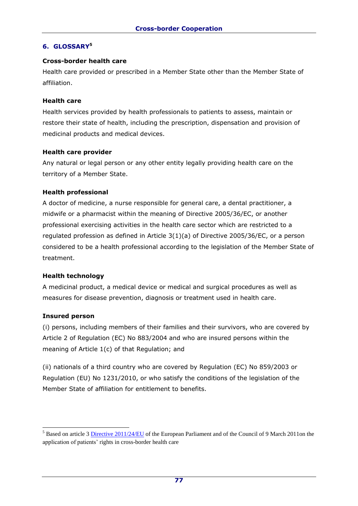# **6. GLOSSARY<sup>5</sup>**

#### **Cross-border health care**

Health care provided or prescribed in a Member State other than the Member State of affiliation.

#### **Health care**

Health services provided by health professionals to patients to assess, maintain or restore their state of health, including the prescription, dispensation and provision of medicinal products and medical devices.

#### **Health care provider**

Any natural or legal person or any other entity legally providing health care on the territory of a Member State.

## **Health professional**

A doctor of medicine, a nurse responsible for general care, a dental practitioner, a midwife or a pharmacist within the meaning of Directive 2005/36/EC, or another professional exercising activities in the health care sector which are restricted to a regulated profession as defined in Article 3(1)(a) of Directive 2005/36/EC, or a person considered to be a health professional according to the legislation of the Member State of treatment.

## **Health technology**

A medicinal product, a medical device or medical and surgical procedures as well as measures for disease prevention, diagnosis or treatment used in health care.

## **Insured person**

-

(i) persons, including members of their families and their survivors, who are covered by Article 2 of Regulation (EC) No 883/2004 and who are insured persons within the meaning of Article 1(c) of that Regulation; and

(ii) nationals of a third country who are covered by Regulation (EC) No 859/2003 or Regulation (EU) No 1231/2010, or who satisfy the conditions of the legislation of the Member State of affiliation for entitlement to benefits.

<sup>&</sup>lt;sup>5</sup> Based on article 3 [Directive 2011/24/EU](http://eur-lex.europa.eu/LexUriServ/LexUriServ.do?uri=OJ:L:2011:088:0045:0065:EN:PDF) of the European Parliament and of the Council of 9 March 2011on the application of patients' rights in cross-border health care